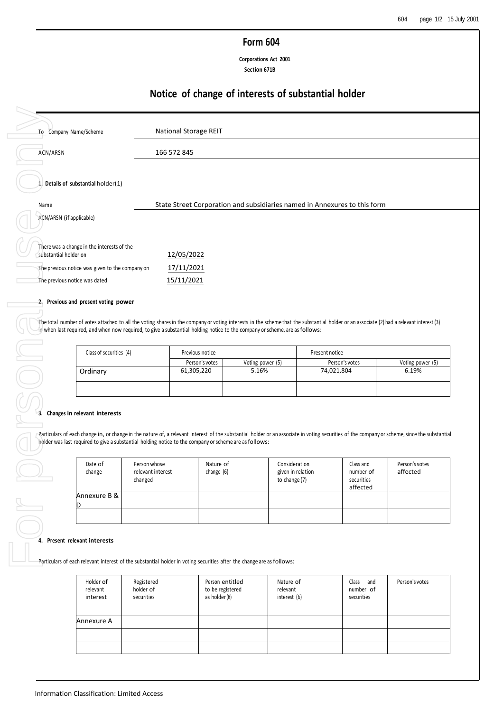# **Form 604**

**Corporations Act 2001 Section 671B**

# **Notice of change of interests of substantial holder**

| ACN/ARSN                                        | 166 572 845                                                                                                                                                                                                                                                                                                               |                                                                           |                   |                |                        |                  |
|-------------------------------------------------|---------------------------------------------------------------------------------------------------------------------------------------------------------------------------------------------------------------------------------------------------------------------------------------------------------------------------|---------------------------------------------------------------------------|-------------------|----------------|------------------------|------------------|
|                                                 |                                                                                                                                                                                                                                                                                                                           |                                                                           |                   |                |                        |                  |
| $\Lambda$ , Details of substantial holder(1)    |                                                                                                                                                                                                                                                                                                                           |                                                                           |                   |                |                        |                  |
|                                                 |                                                                                                                                                                                                                                                                                                                           | State Street Corporation and subsidiaries named in Annexures to this form |                   |                |                        |                  |
| ACN/ARSN (if applicable)                        |                                                                                                                                                                                                                                                                                                                           |                                                                           |                   |                |                        |                  |
| There was a change in the interests of the      |                                                                                                                                                                                                                                                                                                                           |                                                                           |                   |                |                        |                  |
| substantial holder on                           | 12/05/2022                                                                                                                                                                                                                                                                                                                |                                                                           |                   |                |                        |                  |
| The previous notice was given to the company on | 17/11/2021                                                                                                                                                                                                                                                                                                                |                                                                           |                   |                |                        |                  |
| The previous notice was dated                   | 15/11/2021                                                                                                                                                                                                                                                                                                                |                                                                           |                   |                |                        |                  |
| 2. Previous and present voting power            |                                                                                                                                                                                                                                                                                                                           |                                                                           |                   |                |                        |                  |
|                                                 |                                                                                                                                                                                                                                                                                                                           |                                                                           |                   |                |                        |                  |
|                                                 | The total number of votes attached to all the voting shares in the company or voting interests in the scheme that the substantial holder or an associate (2) had a relevant interest (3)<br>-in when last required, and when now required, to give a substantial holding notice to the company or scheme, are as follows: |                                                                           |                   |                |                        |                  |
|                                                 |                                                                                                                                                                                                                                                                                                                           |                                                                           |                   |                |                        |                  |
| Class of securities (4)                         |                                                                                                                                                                                                                                                                                                                           | Previous notice<br>Person's votes                                         | Voting power (5)  | Present notice | Person's votes         | Voting power (5) |
|                                                 |                                                                                                                                                                                                                                                                                                                           |                                                                           |                   |                |                        | 6.19%            |
| Ordinary                                        |                                                                                                                                                                                                                                                                                                                           | 61,305,220                                                                | 5.16%             |                | 74,021,804             |                  |
|                                                 |                                                                                                                                                                                                                                                                                                                           |                                                                           |                   |                |                        |                  |
|                                                 |                                                                                                                                                                                                                                                                                                                           |                                                                           |                   |                |                        |                  |
|                                                 |                                                                                                                                                                                                                                                                                                                           |                                                                           |                   |                |                        |                  |
| 3. Changes in relevant interests                |                                                                                                                                                                                                                                                                                                                           |                                                                           |                   |                |                        |                  |
|                                                 | Particulars of each change in, or change in the nature of, a relevant interest of the substantial holder or an associate in voting securities of the company or scheme, since the substantial                                                                                                                             |                                                                           |                   |                |                        |                  |
|                                                 | holder was last required to give a substantial holding notice to the company or scheme are as follows:                                                                                                                                                                                                                    |                                                                           |                   |                |                        |                  |
| Date of                                         | Person whose                                                                                                                                                                                                                                                                                                              | Nature of                                                                 | Consideration     |                | Class and              | Person's votes   |
| change                                          | relevant interest                                                                                                                                                                                                                                                                                                         | change (6)                                                                | given in relation |                | number of              | affected         |
|                                                 | changed                                                                                                                                                                                                                                                                                                                   |                                                                           | to change (7)     |                | securities<br>affected |                  |
| Annexure B &                                    |                                                                                                                                                                                                                                                                                                                           |                                                                           |                   |                |                        |                  |
|                                                 |                                                                                                                                                                                                                                                                                                                           |                                                                           |                   |                |                        |                  |
|                                                 |                                                                                                                                                                                                                                                                                                                           |                                                                           |                   |                |                        |                  |
| 4. Present relevant interests                   |                                                                                                                                                                                                                                                                                                                           |                                                                           |                   |                |                        |                  |
|                                                 |                                                                                                                                                                                                                                                                                                                           |                                                                           |                   |                |                        |                  |
|                                                 | Particulars of each relevant interest of the substantial holder in voting securities after the change are as follows:                                                                                                                                                                                                     |                                                                           |                   |                |                        |                  |
| Holder of                                       | Registered                                                                                                                                                                                                                                                                                                                | Person entitled                                                           | Nature of         |                | Class and              | Person's votes   |
| relevant                                        | holder of                                                                                                                                                                                                                                                                                                                 | to be registered                                                          | relevant          |                | number of              |                  |
| interest                                        | securities                                                                                                                                                                                                                                                                                                                | as holder (8)                                                             | interest $(6)$    |                | securities             |                  |
| Annexure A                                      |                                                                                                                                                                                                                                                                                                                           |                                                                           |                   |                |                        |                  |
|                                                 |                                                                                                                                                                                                                                                                                                                           |                                                                           |                   |                |                        |                  |
|                                                 |                                                                                                                                                                                                                                                                                                                           |                                                                           |                   |                |                        |                  |

| Class of securities (4) | Previous notice |                  | Present notice |                  |  |
|-------------------------|-----------------|------------------|----------------|------------------|--|
|                         | Person's votes  | Voting power (5) | Person's votes | Voting power (5) |  |
| Ordinary                | 61,305,220      | 5.16%            | 74,021,804     | 6.19%            |  |
|                         |                 |                  |                |                  |  |

# **3. Changes in relevant interests**

| Date of<br>change | Person whose<br>relevant interest<br>changed | Nature of<br>change (6) | Consideration<br>given in relation<br>to change (7) | Class and<br>number of<br>securities<br>affected | Person's votes<br>affected |
|-------------------|----------------------------------------------|-------------------------|-----------------------------------------------------|--------------------------------------------------|----------------------------|
| Annexure B & I    |                                              |                         |                                                     |                                                  |                            |
|                   |                                              |                         |                                                     |                                                  |                            |

### **4. Present relevant interests**

| Holder of<br>relevant<br>interest | Registered<br>holder of<br>securities | Person entitled<br>to be registered<br>as holder (8) | Nature of<br>relevant<br>interest (6) | Class and<br>number of<br>securities | Person's votes |
|-----------------------------------|---------------------------------------|------------------------------------------------------|---------------------------------------|--------------------------------------|----------------|
| Annexure A                        |                                       |                                                      |                                       |                                      |                |
|                                   |                                       |                                                      |                                       |                                      |                |
|                                   |                                       |                                                      |                                       |                                      |                |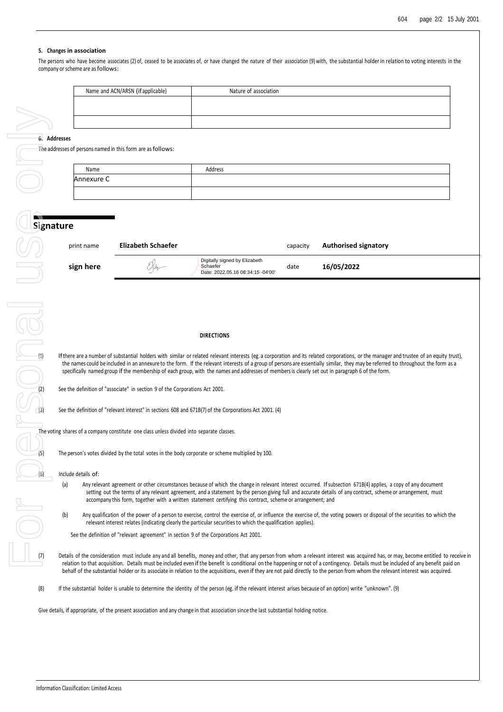## **5. Changes in association**

The persons who have become associates (2) of, ceased to be associates of, or have changed the nature of their association (9) with, the substantial holder in relation to voting interests in the company or scheme are as follows:

| Name and ACN/ARSN (if applicable) | Nature of association |
|-----------------------------------|-----------------------|
|                                   |                       |
|                                   |                       |
|                                   |                       |

# **6. Addresses**

The addresses of persons named in this form are as follows:

| Name       | Address |
|------------|---------|
| Annexure C |         |
|            |         |

| print name | Elizabeth Schaefer |                                                                                | capacity | <b>Authorised signatory</b> |
|------------|--------------------|--------------------------------------------------------------------------------|----------|-----------------------------|
| sign here  | $\sim$ $\sim$      | Digitally signed by Elizabeth<br>Schaefer<br>Date: 2022.05.16 08:34:15 -04'00' | date     | 16/05/2022                  |

### **DIRECTIONS**

**Examples are a number of substantial holders with similar or related relevant interests (eg. a corporation and its related corporations, or the manager and trustee of an equity trust),<br>the manager scontiste interest in a** the names could be included in an annexure to the form. If the relevant interests of a group of persons are essentially similar, they may be referred to throughout the form as a specifically named group if the membership of each group, with the names and addresses of members is clearly set out in paragraph 6 of the form.

See the definition of "associate" in section 9 of the Corporations Act 2001.

See the definition of "relevant interest" in sections 608 and 671B(7) of the Corporations Act 2001. (4)

The voting shares of a company constitute one class unless divided into separate classes.

The person's votes divided by the total votes in the body corporate or scheme multiplied by 100.

Include details of:

- (a) Any relevant agreement or other circumstances because of which the change in relevant interest occurred. If subsection 671B(4) applies, a copy of any document setting out the terms of any relevant agreement, and a statement by the person giving full and accurate details of any contract, scheme or arrangement, must accompany this form, together with a written statement certifying this contract, scheme or arrangement; and
- (b) Any qualification of the power of a person to exercise, control the exercise of, or influence the exercise of, the voting powers or disposal of the securities to which the relevant interest relates (indicating clearly the particular securities to which the qualification applies).

See the definition of "relevant agreement" in section 9 of the Corporations Act 2001.

- Details of the consideration must include any and all benefits, money and other, that any person from whom a relevant interest was acquired has, or may, become entitled to receive in relation to that acquisition. Details must be included even if the benefit is conditional on the happening or not of a contingency. Details must be included of any benefit paid on behalf of the substantial holder or its associate in relation to the acquisitions, even if they are not paid directly to the person from whom the relevant interest was acquired.
- (8) If the substantial holder is unable to determine the identity of the person (eg. if the relevant interest arises because of an option) write "unknown". (9)

Give details, if appropriate, of the present association and any change in that association since the last substantial holding notice.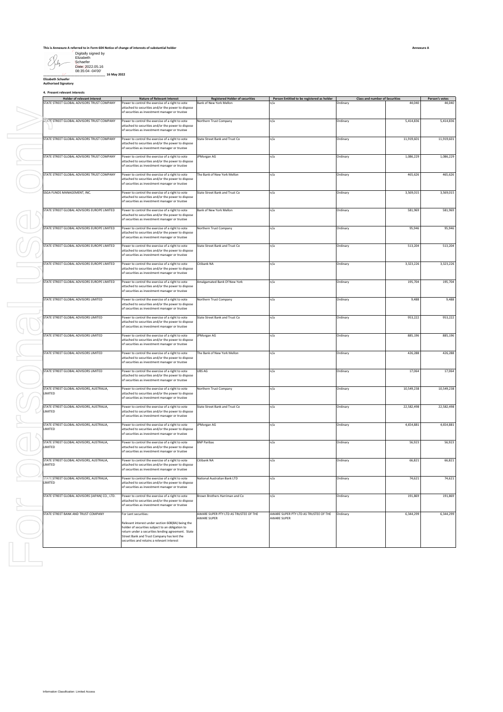| Digitally signed by |
|---------------------|
| Flizabeth           |
| Schaefer            |
| Date: 2022.05.16    |
| 08:35:04 -04'00'    |

**\_\_\_\_\_\_\_\_\_\_\_\_\_\_\_\_\_\_\_\_\_\_\_\_\_\_\_\_\_\_\_\_\_\_\_\_ 16 May 2022**

**Elizabeth Schaefer Authorised Signatory**

**4. Present relevant interests**

|  | Holder of relevant interest                                | <b>Nature of Relevant Interest</b>                                                                                                                          | <b>Registered Holder of securities</b> | Person Entitled to be registered as holder | <b>Class and number of Securities</b> |            | Person's votes |
|--|------------------------------------------------------------|-------------------------------------------------------------------------------------------------------------------------------------------------------------|----------------------------------------|--------------------------------------------|---------------------------------------|------------|----------------|
|  | STATE STREET GLOBAL ADVISORS TRUST COMPANY                 | Power to control the exercise of a right to vote<br>attached to securities and/or the power to dispose<br>of securities as investment manager or trustee    | 3ank of New York Mellon                | n/a                                        | Ordinary                              | 44.040     | 44,040         |
|  | STATE STREET GLOBAL ADVISORS TRUST COMPANY                 | Power to control the exercise of a right to vote<br>attached to securities and/or the power to dispose                                                      | Northern Trust Company                 | n/a                                        | Ordinary                              | 5,414,836  | 5,414,836      |
|  | STATE STREET GLOBAL ADVISORS TRUST COMPANY                 | of securities as investment manager or trustee<br>Power to control the exercise of a right to vote                                                          | State Street Bank and Trust Co         | n/a                                        | Ordinary                              | 11,919,601 | 11,919,601     |
|  | STATE STREET GLOBAL ADVISORS TRUST COMPANY                 | attached to securities and/or the power to dispose<br>of securities as investment manager or trustee<br>Power to control the exercise of a right to vote    |                                        |                                            |                                       |            | 1,086,229      |
|  |                                                            | attached to securities and/or the power to dispose<br>of securities as investment manager or trustee                                                        | JPMorgan AG                            | n/a                                        | Ordinary                              | 1,086,229  |                |
|  | STATE STREET GLOBAL ADVISORS TRUST COMPANY                 | Power to control the exercise of a right to vote<br>attached to securities and/or the power to dispose<br>of securities as investment manager or trustee    | The Bank of New York Mellon            | n/a                                        | Ordinary                              | 465,626    | 465,626        |
|  | SSGA FUNDS MANAGEMENT, INC.                                | Power to control the exercise of a right to vote<br>attached to securities and/or the power to dispose<br>of securities as investment manager or trustee    | State Street Bank and Trust Co         | n/a                                        | Ordinary                              | 3,569,015  | 3,569,015      |
|  | STATE STREET GLOBAL ADVISORS EUROPE LIMITED                | Power to control the exercise of a right to vote<br>attached to securities and/or the power to dispose<br>of securities as investment manager or trustee    | Bank of New York Mellon                | n/a                                        | Ordinary                              | 581,969    | 581,969        |
|  | <b>STATE STREET GLOBAL ADVISORS EUROPE LIMITED</b>         | Power to control the exercise of a right to vote<br>attached to securities and/or the power to dispose<br>of securities as investment manager or trustee    | Northern Trust Company                 | n/a                                        | Ordinary                              | 95,946     | 95,946         |
|  | STATE STREET GLOBAL ADVISORS EUROPE LIMITED                | Power to control the exercise of a right to vote<br>attached to securities and/or the power to dispose<br>of securities as investment manager or trustee    | State Street Bank and Trust Co         | n/a                                        | Ordinary                              | 513,204    | 513,204        |
|  | STATE STREET GLOBAL ADVISORS EUROPE LIMITED                | Power to control the exercise of a right to vote<br>attached to securities and/or the power to dispose<br>of securities as investment manager or trustee    | Citibank NA                            | n/a                                        | Ordinary                              | 3,323,226  | 3,323,226      |
|  | STATE STREET GLOBAL ADVISORS EUROPE LIMITED                | Power to control the exercise of a right to vote<br>attached to securities and/or the power to dispose<br>of securities as investment manager or trustee    | Amalgamated Bank Of New York           | n/a                                        | Ordinary                              | 195,704    | 195,704        |
|  | STATE STREET GLOBAL ADVISORS LIMITED                       | Power to control the exercise of a right to vote<br>attached to securities and/or the power to dispose<br>of securities as investment manager or trustee    | Northern Trust Company                 | n/a                                        | Ordinary                              | 9,488      | 9,488          |
|  | STATE STREET GLOBAL ADVISORS LIMITED                       | Power to control the exercise of a right to vote<br>attached to securities and/or the power to dispose<br>of securities as investment manager or trustee    | State Street Bank and Trust Co         | n/a                                        | Ordinary                              | 953,222    | 953,222        |
|  | STATE STREET GLOBAL ADVISORS LIMITED                       | Power to control the exercise of a right to vote<br>attached to securities and/or the power to dispose<br>of securities as investment manager or trustee    | IPMorgan AG                            | n/a                                        | Ordinary                              | 885,196    | 885,196        |
|  | STATE STREET GLOBAL ADVISORS LIMITED                       | Power to control the exercise of a right to vote<br>attached to securities and/or the power to dispose<br>of securities as investment manager or trustee    | The Bank of New York Mellon            | n/a                                        | Ordinary                              | 426,288    | 426,288        |
|  | STATE STREET GLOBAL ADVISORS LIMITED                       | Power to control the exercise of a right to vote<br>attached to securities and/or the power to dispose<br>of securities as investment manager or trustee    | UBS AG                                 | n/a                                        | Ordinary                              | 17,064     | 17,064         |
|  | STATE STREET GLOBAL ADVISORS, AUSTRALIA,<br>LIMITED        | Power to control the exercise of a right to vote<br>attached to securities and/or the power to dispose<br>of securities as investment manager or trustee    | Northern Trust Company                 | n/a                                        | Ordinary                              | 10,549,238 | 10,549,238     |
|  | STATE STREET GLOBAL ADVISORS, AUSTRALIA,<br>LIMITED        | Power to control the exercise of a right to vote<br>attached to securities and/or the power to dispose<br>of securities as investment manager or trustee    | State Street Bank and Trust Co         | n/a                                        | Ordinary                              | 22,582,498 | 22,582,498     |
|  | STATE STREET GLOBAL ADVISORS, AUSTRALIA,<br>LIMITED        | Power to control the exercise of a right to vote<br>attached to securities and/or the power to dispose<br>of securities as investment manager or trustee    | PMorgan AG                             | n/a                                        | Ordinary                              | 4,654,881  | 4,654,881      |
|  | STATE STREET GLOBAL ADVISORS, AUSTRALIA,<br>LIMITED        | Power to control the exercise of a right to vote<br>attached to securities and/or the power to dispose<br>of securities as investment manager or trustee    | <b>BNP Paribas</b>                     | n/a                                        | Ordinary                              | 56,923     | 56,923         |
|  | STATE STREET GLOBAL ADVISORS, AUSTRALIA,<br>LIMITED        | Power to control the exercise of a right to vote<br>attached to securities and/or the power to dispose<br>of securities as investment manager or trustee    | Citibank NA                            | n/a                                        | Ordinary                              | 66,821     | 66,821         |
|  | <b>STATE STREET GLOBAL ADVISORS, AUSTRALIA,</b><br>LIMITED | Power to control the exercise of a right to vote<br>attached to securities and/or the power to dispose                                                      | National Australian Bank LTD           | n/a                                        | Ordinary                              | 74,621     | 74,621         |
|  | STATE STREET GLOBAL ADVISORS (JAPAN) CO., LTD.             | of securities as investment manager or trustee<br>Power to control the exercise of a right to vote                                                          | Brown Brothers Harriman and Co         | n/a                                        | Ordinary                              | 191,869    | 191,869        |
|  | STATE STREET BANK AND TRUST COMPANY                        | attached to securities and/or the power to dispose<br>of securities as investment manager or trustee<br>For Lent securities:                                | AWARE SUPER PTY LTD AS TRUSTEE OF THE  | AWARE SUPER PTY LTD AS TRUSTEE OF THE      | Ordinary                              | 6,344,299  | 6,344,299      |
|  |                                                            | Relevant interest under section 608(8A) being the<br>holder of securities subject to an obligation to<br>return under a securities lending agreement. State | AWARE SUPER                            | AWARE SUPER                                |                                       |            |                |
|  |                                                            | Street Bank and Trust Company has lent the<br>securities and retains a relevant interest                                                                    |                                        |                                            |                                       |            |                |
|  |                                                            |                                                                                                                                                             |                                        |                                            |                                       |            |                |
|  |                                                            |                                                                                                                                                             |                                        |                                            |                                       |            |                |
|  |                                                            |                                                                                                                                                             |                                        |                                            |                                       |            |                |
|  |                                                            |                                                                                                                                                             |                                        |                                            |                                       |            |                |
|  |                                                            |                                                                                                                                                             |                                        |                                            |                                       |            |                |
|  |                                                            |                                                                                                                                                             |                                        |                                            |                                       |            |                |
|  |                                                            |                                                                                                                                                             |                                        |                                            |                                       |            |                |
|  |                                                            |                                                                                                                                                             |                                        |                                            |                                       |            |                |
|  |                                                            |                                                                                                                                                             |                                        |                                            |                                       |            |                |
|  |                                                            |                                                                                                                                                             |                                        |                                            |                                       |            |                |
|  | Information Classification: Limited Access                 |                                                                                                                                                             |                                        |                                            |                                       |            |                |

**Annexure A**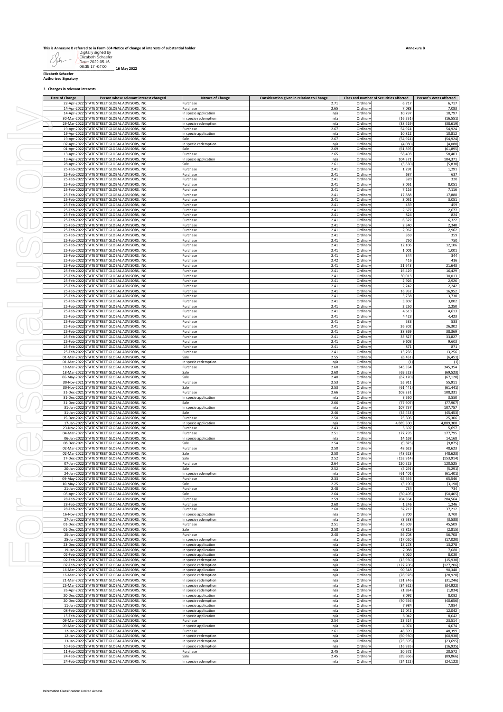|        |                     | This is Annexure B referred to in Form 604 Notice of change of interests of substantial holder |
|--------|---------------------|------------------------------------------------------------------------------------------------|
|        | Digitally signed by |                                                                                                |
|        | Elizabeth Schaefer  |                                                                                                |
|        | Date: 2022.05.16    |                                                                                                |
| $\sim$ | 08:35:17 -04'00'    | 10.8842022                                                                                     |

**\_\_\_\_\_\_\_\_\_\_\_\_\_\_\_\_\_\_\_\_\_\_\_\_\_\_\_\_\_\_\_\_\_\_\_\_ 16 May 2022 Elizabeth Schaefer Authorised Signatory**

**3. Changes in relevant interests**

| Date of Change | Person whose relevant interest changed<br>22-Apr-2022 STATE STREET GLOBAL ADVISORS, INC.                                                           | <b>Nature of Change</b><br>Purchase            | Consideration given in relation to Change<br>2.71 | Ordinary                         | Class and number of Securities affected<br>6,717 | <b>Person's Votes affected</b><br>6,717 |
|----------------|----------------------------------------------------------------------------------------------------------------------------------------------------|------------------------------------------------|---------------------------------------------------|----------------------------------|--------------------------------------------------|-----------------------------------------|
|                | 14-Apr-2022 STATE STREET GLOBAL ADVISORS, INC                                                                                                      | Purchase                                       | 2.65                                              | Ordinary                         | 7,083                                            | 7,083                                   |
|                | 14-Apr-2022 STATE STREET GLOBAL ADVISORS, INC<br>30-Mar-2022 STATE STREET GLOBAL ADVISORS, INC                                                     | In specie application<br>In specie redemption  | n/a<br>n/a                                        | Ordinary<br>Ordinary             | 10,797<br>(16, 551)                              | 10,797<br>(16, 551)                     |
|                | 29-Mar-2022 STATE STREET GLOBAL ADVISORS, INC<br>19-Apr-2022 STATE STREET GLOBAL ADVISORS, INC.                                                    | In specie redemption<br>Purchase               | n/a<br>2.67                                       | Ordinary<br>Ordinary             | (38, 619)<br>54,924                              | (38, 619)<br>54,924                     |
|                | 19-Apr-2022 STATE STREET GLOBAL ADVISORS, INC<br>19-Apr-2022 STATE STREET GLOBAL ADVISORS, INC                                                     | In specie application<br>Sale                  | n/a<br>2.67                                       | Ordinary<br>Ordinary             | 10,812<br>(54, 924)                              | 10,812<br>(54, 924)                     |
|                | 07-Apr-2022 STATE STREET GLOBAL ADVISORS, INC                                                                                                      | In specie redemption                           | n/a                                               | Ordinary                         | (4,080)                                          | (4,080)                                 |
|                | 01-Apr-2022 STATE STREET GLOBAL ADVISORS, INC<br>13-Apr-2022 STATE STREET GLOBAL ADVISORS, INC                                                     | Sale<br>Purchase                               | 2.69<br>2.65                                      | Ordinary<br>Ordinary             | (61, 895)<br>58,403                              | (61, 895)<br>58,403                     |
|                | 13-Apr-2022 STATE STREET GLOBAL ADVISORS, INC<br>28-Apr-2022 STATE STREET GLOBAL ADVISORS, INC                                                     | In specie application<br>Sale                  | n/a<br>2.61                                       | Ordinary<br>Ordinary             | 104,371<br>(5, 830)                              | 104,371<br>(5,830)                      |
|                | 25-Feb-2022 STATE STREET GLOBAL ADVISORS, INC                                                                                                      | Purchase                                       | 2.41                                              | Ordinary                         | 1,291                                            | 1,291                                   |
|                | 25-Feb-2022 STATE STREET GLOBAL ADVISORS, INC<br>25-Feb-2022 STATE STREET GLOBAL ADVISORS, INC                                                     | Purchase<br>Purchase                           | 2.41<br>2.41                                      | Ordinary<br>Ordinary             | 637<br>320                                       | 637<br>320                              |
|                | 25-Feb-2022 STATE STREET GLOBAL ADVISORS, INC<br>25-Feb-2022 STATE STREET GLOBAL ADVISORS, INC                                                     | Purchase<br>Purchase                           | 2.41<br>2.41                                      | Ordinary<br>Ordinary             | 8,051<br>7,116                                   | 8,051<br>7,116                          |
|                | 25-Feb-2022 STATE STREET GLOBAL ADVISORS, INC                                                                                                      | Purchase                                       | 2.41                                              | Ordinary                         | 17,888                                           | 17,888                                  |
|                | 25-Feb-2022 STATE STREET GLOBAL ADVISORS, INC<br>25-Feb-2022 STATE STREET GLOBAL ADVISORS, INC                                                     | Purchase<br>Purchase                           | 2.41<br>2.41                                      | Ordinary<br>Ordinary             | 3,051<br>459                                     | 3,051<br>459                            |
|                | 25-Feb-2022 STATE STREET GLOBAL ADVISORS, INC<br>25-Feb-2022 STATE STREET GLOBAL ADVISORS, INC                                                     | Purchase<br>Purchase                           | 2.41<br>2.41                                      | Ordinary<br>Ordinary             | 2,677<br>824                                     | 2,677<br>824                            |
|                | 25-Feb-2022 STATE STREET GLOBAL ADVISORS, INC                                                                                                      | Purchase                                       | 2.41                                              | Ordinary                         | 6,322                                            | 6,322                                   |
|                | 25-Feb-2022 STATE STREET GLOBAL ADVISORS, INC<br>25-Feb-2022 STATE STREET GLOBAL ADVISORS, INC                                                     | Purchase<br>Purchase                           | 2.41<br>2.41                                      | Ordinary<br>Ordinary             | 2,340<br>2,962                                   | 2,340<br>2,962                          |
|                | 25-Feb-2022 STATE STREET GLOBAL ADVISORS, INC.<br>25-Feb-2022 STATE STREET GLOBAL ADVISORS, INC                                                    | Purchase<br>Purchase                           | 2.41<br>2.41                                      | Ordinary<br>Ordinary             | 359<br>750                                       | 359<br>750                              |
|                | 25-Feb-2022 STATE STREET GLOBAL ADVISORS, INC.<br>25-Feb-2022 STATE STREET GLOBAL ADVISORS, INC                                                    | Purchase<br>Purchase                           | 2.41<br>2.41                                      | Ordinary<br>Ordinary             | 12,106<br>1,001                                  | 12,106<br>1,001                         |
|                | 25-Feb-2022 STATE STREET GLOBAL ADVISORS, INC.                                                                                                     | Purchase                                       | 2.41                                              | Ordinary                         | 344                                              | 344                                     |
|                | 25-Feb-2022 STATE STREET GLOBAL ADVISORS, INC<br>25-Feb-2022 STATE STREET GLOBAL ADVISORS, INC                                                     | Purchase<br>Purchase                           | 2.42<br>2.41                                      | Ordinary<br>Ordinary             | 416<br>21,643                                    | 416<br>21,643                           |
|                | 25-Feb-2022 STATE STREET GLOBAL ADVISORS, INC<br>25-Feb-2022 STATE STREET GLOBAL ADVISORS, INC                                                     | Purchase<br>Purchase                           | 2.41<br>2.41                                      | Ordinary<br>Ordinary             | 16,429<br>30,013                                 | 16,429<br>30,013                        |
|                | 25-Feb-2022 STATE STREET GLOBAL ADVISORS, INC                                                                                                      | Purchase                                       | 2.41                                              | Ordinary                         | 2,926                                            | 2,926                                   |
|                | 25-Feb-2022 STATE STREET GLOBAL ADVISORS, INC<br>25-Feb-2022 STATE STREET GLOBAL ADVISORS, INC                                                     | Purchase<br>Purchase                           | 2.41<br>2.41                                      | Ordinary<br>Ordinary             | 2,242<br>16,952                                  | 2,242<br>16,952                         |
|                | 25-Feb-2022 STATE STREET GLOBAL ADVISORS, INC<br>25-Feb-2022 STATE STREET GLOBAL ADVISORS, INC                                                     | Purchase<br>Purchase                           | 2.41<br>2.41                                      | Ordinary<br>Ordinary             | 3,738<br>3,802                                   | 3,738<br>3,802                          |
|                | 25-Feb-2022 STATE STREET GLOBAL ADVISORS, INC                                                                                                      | Purchase                                       | 2.41                                              | Ordinary                         | 2,250                                            | 2,250                                   |
|                | 25-Feb-2022 STATE STREET GLOBAL ADVISORS, INC<br>25-Feb-2022 STATE STREET GLOBAL ADVISORS, INC                                                     | Purchase<br>Purchase                           | 2.41<br>2.41                                      | Ordinary<br>Ordinary             | 4,613<br>4,423                                   | 4,613<br>4,423                          |
|                | 25-Feb-2022 STATE STREET GLOBAL ADVISORS, INC<br>25-Feb-2022 STATE STREET GLOBAL ADVISORS, INC                                                     | Purchase<br>Purchase                           | 2.41<br>2.41                                      | Ordinary<br>Ordinary             | 533<br>26,302                                    | 533<br>26,302                           |
|                | 25-Feb-2022 STATE STREET GLOBAL ADVISORS, INC<br>25-Feb-2022 STATE STREET GLOBAL ADVISORS, INC                                                     | Purchase<br>Purchase                           | 2.41<br>2.41                                      | Ordinary<br>Ordinary             | 38,369<br>33,827                                 | 38,369<br>33,827                        |
|                | 25-Feb-2022 STATE STREET GLOBAL ADVISORS, INC                                                                                                      | Purchase                                       | 2.41                                              | Ordinary                         | 9,603                                            | 9,603                                   |
|                | 25-Feb-2022 STATE STREET GLOBAL ADVISORS, INC<br>25-Feb-2022 STATE STREET GLOBAL ADVISORS, INC                                                     | Purchase<br>Purchase                           | 2.41<br>2.41                                      | Ordinary<br>Ordinary             | 871<br>13,256                                    | 871<br>13,256                           |
|                | 01-Mar-2022 STATE STREET GLOBAL ADVISORS, INC<br>01-Mar-2022 STATE STREET GLOBAL ADVISORS, INC                                                     | Sale<br>In specie redemption                   | 2.55<br>n/a                                       | Ordinary<br>Ordinary             | (6, 451)<br>(1)                                  | (6, 451)<br>(1)                         |
|                | 18-Mar-2022 STATE STREET GLOBAL ADVISORS, INC<br>18-Mar-2022 STATE STREET GLOBAL ADVISORS, INC                                                     | Purchase<br>Sale                               | 2.60<br>2.60                                      | Ordinary<br>Ordinary             | 345,354<br>(69, 523)                             | 345,354<br>(69, 523)                    |
|                | 06-May-2022 STATE STREET GLOBAL ADVISORS, INC                                                                                                      | Sale                                           | 2.40                                              | Ordinary                         | (67, 120)                                        | (67, 120)                               |
|                | 30-Nov-2021 STATE STREET GLOBAL ADVISORS, INC<br>30-Nov-2021 STATE STREET GLOBAL ADVISORS, INC                                                     | Purchase<br>Sale                               | 2.53<br>2.53                                      | Ordinary<br>Ordinary             | 55,911<br>(61, 441)                              | 55,911<br>(61, 441)                     |
|                | 31-Dec-2021 STATE STREET GLOBAL ADVISORS, INC<br>31-Dec-2021 STATE STREET GLOBAL ADVISORS, INC                                                     | Purchase<br>In specie application              | 2.66<br>n/a                                       | Ordinary<br>Ordinary             | 108,331<br>3,550                                 | 108,331<br>3,550                        |
|                | 31-Dec-2021 STATE STREET GLOBAL ADVISORS, INC<br>31-Jan-2022 STATE STREET GLOBAL ADVISORS, INC                                                     | Sale<br>In specie application                  | 2.66<br>n/a                                       | Ordinary<br>Ordinary             | (77, 907)<br>107,757                             | (77, 907)<br>107,757                    |
|                | 31-Jan-2022 STATE STREET GLOBAL ADVISORS, INC                                                                                                      | Sale                                           | 2.46                                              | Ordinary                         | (45, 453)                                        | (45, 453)                               |
|                | 15-Dec-2021 STATE STREET GLOBAL ADVISORS, INC<br>17-Jan-2022 STATE STREET GLOBAL ADVISORS, INC                                                     | Purchase<br>In specie application              | 2.50<br>n/a                                       | Ordinary<br>Ordinary             | 25,306<br>4,889,300                              | 25,306<br>4,889,300                     |
|                | 23-Nov-2021 STATE STREET GLOBAL ADVISORS, INC<br>04-Mar-2022 STATE STREET GLOBAL ADVISORS, INC                                                     | Purchase<br>Purchase                           | 2.43<br>2.51                                      | Ordinary<br>Ordinary             | 5,697<br>177,795                                 | 5,697<br>177,795                        |
|                | 06-Jan-2022 STATE STREET GLOBAL ADVISORS, INC                                                                                                      | In specie application                          | n/a<br>2.54                                       | Ordinary                         | 14,168<br>(9, 875)                               | 14,168<br>(9, 875)                      |
|                |                                                                                                                                                    |                                                |                                                   |                                  |                                                  |                                         |
|                | 08-Dec-2021 STATE STREET GLOBAL ADVISORS, INC<br>02-Mar-2022 STATE STREET GLOBAL ADVISORS, INC                                                     | Sale<br>Purchase                               | 2.50                                              | Ordinary<br>Ordinary             | 48,623                                           | 48,623                                  |
|                | 02-Mar-2022 STATE STREET GLOBAL ADVISORS, INC<br>17-Dec-2021 STATE STREET GLOBAL ADVISORS, INC                                                     | Sale<br>Sale                                   | 2.50<br>2.52                                      | Ordinary<br>Ordinary             | (48, 623)<br>(153, 914)                          | (48, 623)<br>(153, 914)                 |
|                | 07-Jan-2022 STATE STREET GLOBAL ADVISORS, INC                                                                                                      | Purchase                                       | 2.64                                              | Ordinary                         | 120,525                                          | 120,525                                 |
|                | 20-Jan-2022 STATE STREET GLOBAL ADVISORS, INC.<br>24-Jan-2022 STATE STREET GLOBAL ADVISORS, INC                                                    | Sale<br>In specie redemption                   | 2.52<br>n/a                                       | Ordinary<br>Ordinary             | (5, 291)<br>(61.401)                             | (5, 291)<br>(61.401)                    |
|                | 09-May-2022 STATE STREET GLOBAL ADVISORS, INC.<br>10-May-2022 STATE STREET GLOBAL ADVISORS, INC.                                                   | Purchase<br>Sale                               | 2.33<br>2.25                                      | Ordinary<br>Ordinary             | 65,546<br>(3, 190)                               | 65,546<br>(3, 190)                      |
|                | 21-Jan-2022 STATE STREET GLOBAL ADVISORS, INC.                                                                                                     | Purchase                                       | 2.48                                              | Ordinary                         | 734                                              | 734                                     |
|                | 05-Apr-2022 STATE STREET GLOBAL ADVISORS, INC.<br>28-Feb-2022 STATE STREET GLOBAL ADVISORS, INC.                                                   | Sale<br>Purchase                               | 2.64<br>2.59                                      | Ordinary<br>Ordinary             | (50, 405)<br>204,564                             | (50, 405)<br>204,564                    |
|                | 28-Feb-2022 STATE STREET GLOBAL ADVISORS, INC.<br>28-Feb-2022 STATE STREET GLOBAL ADVISORS, INC.                                                   | Purchase<br>Purchase                           | 2.60<br>2.60                                      | Ordinary<br>Ordinary             | 1,246<br>37,212                                  | 1,246<br>37,212                         |
|                | 16-Nov-2021 STATE STREET GLOBAL ADVISORS, INC.<br>27-Jan-2022 STATE STREET GLOBAL ADVISORS, INC.                                                   | In specie application<br>In specie redemption  | n/a<br>n/a                                        | Ordinary<br>Ordinary             | 3,700<br>(3, 538)                                | 3,700<br>(3,538)                        |
|                | 01-Dec-2021 STATE STREET GLOBAL ADVISORS, INC.                                                                                                     | Purchase                                       | 2.51                                              | Ordinary                         | 45,509                                           | 45,509                                  |
|                | 01-Dec-2021 STATE STREET GLOBAL ADVISORS. INC.<br>25-Jan-2022 STATE STREET GLOBAL ADVISORS, INC.                                                   | Sale<br>Purchase                               | 2.50<br>2.40                                      | Ordinary<br>Ordinary             | (2, 815)<br>56,708                               | (2, 815)<br>56,708                      |
|                | 25-Jan-2022 STATE STREET GLOBAL ADVISORS, INC.<br>23-Dec-2021 STATE STREET GLOBAL ADVISORS, INC.                                                   | In specie redemption<br>In specie application  | n/a<br>n/a                                        | Ordinary<br>Ordinary             | (17, 020)<br>13,278                              | (17, 020)<br>13,278                     |
|                | 19-Jan-2022 STATE STREET GLOBAL ADVISORS, INC.<br>02-Feb-2022 STATE STREET GLOBAL ADVISORS, INC.                                                   | In specie application<br>In specie application | n/a<br>n/a                                        | Ordinary<br>Ordinary             | 7,088<br>8,020                                   | 7,088<br>8,020                          |
|                | 02-Feb-2022 STATE STREET GLOBAL ADVISORS, INC.                                                                                                     | In specie redemption                           | n/a                                               | Ordinary                         | (15, 930)                                        | (15, 930)                               |
|                | 07-Feb-2022 STATE STREET GLOBAL ADVISORS, INC.<br>16-Mar-2022 STATE STREET GLOBAL ADVISORS, INC.                                                   | In specie redemption<br>In specie application  | n/a<br>n/a                                        | Ordinary<br>Ordinary             | (127, 206)<br>90,348                             | (127, 206)<br>90,348                    |
|                | 16-Mar-2022 STATE STREET GLOBAL ADVISORS, INC.<br>21-Mar-2022 STATE STREET GLOBAL ADVISORS, INC.                                                   | In specie redemption<br>In specie redemption   | n/a<br>n/a                                        | Ordinary<br>Ordinary             | (28, 928)<br>(31, 246)                           | (28, 928)<br>(31, 246)                  |
|                | 25-Mar-2022 STATE STREET GLOBAL ADVISORS, INC.                                                                                                     | In specie redemption                           | n/a                                               | Ordinary                         | (34, 922)                                        | (34, 922)                               |
|                | 26-Apr-2022 STATE STREET GLOBAL ADVISORS, INC.<br>20-Dec-2021 STATE STREET GLOBAL ADVISORS, INC.                                                   | In specie redemption<br>In specie application  | n/a<br>n/a                                        | Ordinary<br>Ordinary             | (1, 834)<br>8,092                                | (1, 834)<br>8,092                       |
|                | 20-Dec-2021 STATE STREET GLOBAL ADVISORS, INC.<br>11-Jan-2022 STATE STREET GLOBAL ADVISORS, INC.                                                   | In specie redemption<br>In specie application  | n/a<br>n/a                                        | Ordinary<br>Ordinary             | (40, 656)<br>7,984                               | (40, 656)<br>7,984                      |
|                | 08-Feb-2022 STATE STREET GLOBAL ADVISORS, INC.<br>15-Feb-2022 STATE STREET GLOBAL ADVISORS, INC.                                                   | In specie application<br>In specie application | n/a<br>n/a                                        | Ordinary<br>Ordinary             | 12,042<br>8,042                                  | 12,042<br>8,042                         |
|                | 09-Mar-2022 STATE STREET GLOBAL ADVISORS, INC.                                                                                                     | Purchase                                       | 2.54                                              | Ordinary                         | 23,514                                           | 23,514                                  |
|                | 09-Mar-2022 STATE STREET GLOBAL ADVISORS, INC.<br>12-Jan-2022 STATE STREET GLOBAL ADVISORS, INC.                                                   | In specie application<br>Purchase              | n/a<br>2.61                                       | Ordinary<br>Ordinary             | 4,074<br>48,399                                  | 4,074<br>48,399                         |
|                | 12-Jan-2022 STATE STREET GLOBAL ADVISORS, INC.<br>13-Jan-2022 STATE STREET GLOBAL ADVISORS, INC.                                                   | In specie redemption<br>In specie redemption   | n/a<br>n/a                                        | Ordinary<br>Ordinary             | (60, 930)<br>(23, 695)                           | (60, 930)<br>(23, 695)                  |
|                | 10-Feb-2022 STATE STREET GLOBAL ADVISORS, INC.                                                                                                     | In specie redemption                           | n/a                                               | Ordinary                         | (16, 935)                                        | (16, 935)                               |
|                | 11-Feb-2022 STATE STREET GLOBAL ADVISORS, INC.<br>24-Feb-2022 STATE STREET GLOBAL ADVISORS, INC.<br>24-Feb-2022 STATE STREET GLOBAL ADVISORS, INC. | Purchase<br>Sale<br>In specie redemption       | 2.45<br>2.45<br>n/a                               | Ordinary<br>Ordinary<br>Ordinary | 20,572<br>(89, 866)<br>(24, 122)                 | 20,572<br>(89, 866)<br>(24, 122)        |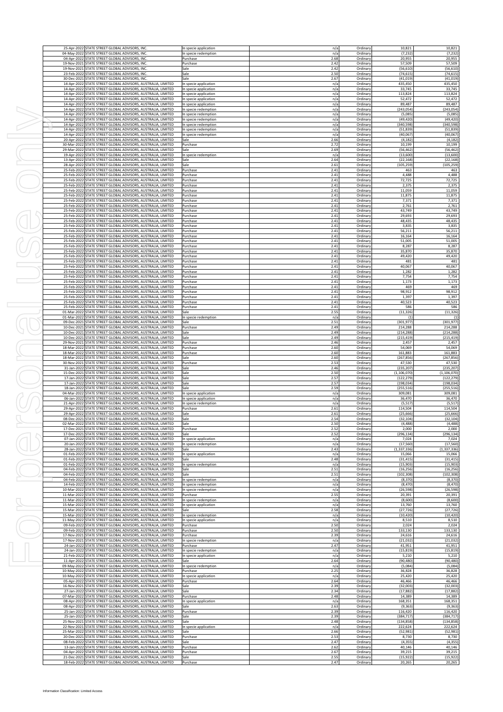|                            | 25-Apr-2022 STATE STREET GLOBAL ADVISORS, INC                                                                                                                                                |                                                              |  | In specie application                          | n/a          | Ordinary             | 10,821                      | 10,821                                                                                                                                   |
|----------------------------|----------------------------------------------------------------------------------------------------------------------------------------------------------------------------------------------|--------------------------------------------------------------|--|------------------------------------------------|--------------|----------------------|-----------------------------|------------------------------------------------------------------------------------------------------------------------------------------|
| 04-May-2022<br>04-Anr-2023 | STATE STREET GLOBAL ADVISORS, INC<br>STATE STREET GLOBAL ADVISORS, INC                                                                                                                       |                                                              |  | In specie redemption<br>Purchase               | n/a<br>2.68  | Ordinary<br>Ordinary | (7, 232)<br>20,955          | (7, 232)<br>20,955                                                                                                                       |
| 19-Nov-2021                | STATE STREET GLOBAL ADVISORS, INC                                                                                                                                                            |                                                              |  | Purchase                                       | 2.42         | Ordinary             | 57,509                      | 57,509                                                                                                                                   |
| 19-Nov-2021<br>23-Feb-2022 | STATE STREET GLOBAL ADVISORS, INC<br>STATE STREET GLOBAL ADVISORS, INC.                                                                                                                      |                                                              |  | Sale<br>Sale                                   | 2.42<br>2.50 | Ordinary<br>Ordinary | (56, 610)<br>(74, 615)      | (56, 610)<br>(74, 615)                                                                                                                   |
| 30-Dec-2021                | STATE STREET GLOBAL ADVISORS, INC                                                                                                                                                            |                                                              |  | Sale                                           | 2.67         | Ordinary             | (41, 019)                   | (41, 019)                                                                                                                                |
| 14-Apr-2022<br>14-Apr-2022 | STATE STREET GLOBAL ADVISORS, AUSTRALIA, LIMITED<br>STATE STREET GLOBAL ADVISORS, AUSTRALIA, LIMITED                                                                                         |                                                              |  | In specie application<br>In specie application | n/a<br>n/a   | Ordinary<br>Ordinary | 435,450<br>33,745           | 435,450<br>33,745                                                                                                                        |
| 14-Apr-2022<br>14-Apr-2022 | STATE STREET GLOBAL ADVISORS, AUSTRALIA, LIMITED<br>STATE STREET GLOBAL ADVISORS, AUSTRALIA, LIMITED                                                                                         |                                                              |  | In specie application<br>In specie application | n/a<br>n/a   | Ordinary<br>Ordinary | 113,824<br>52,472           | 113,824<br>52,472                                                                                                                        |
| 14-Apr-2022                | STATE STREET GLOBAL ADVISORS, AUSTRALIA, LIMITED                                                                                                                                             |                                                              |  | In specie application                          | n/a          | Ordinary             | 89,487                      | 89,487                                                                                                                                   |
| 14-Apr-2022<br>14-Apr-2022 | STATE STREET GLOBAL ADVISORS, AUSTRALIA, LIMITED<br>STATE STREET GLOBAL ADVISORS, AUSTRALIA, LIMITED                                                                                         |                                                              |  | In specie redemption<br>In specie redemption   | n/a<br>n/a   | Ordinary<br>Ordinary | (243,054<br>(5,085)         | (243, 054)<br>(5,085)                                                                                                                    |
| 14-Apr-2022                | STATE STREET GLOBAL ADVISORS, AUSTRALIA, LIMITED                                                                                                                                             |                                                              |  | In specie redemption                           | n/a          | Ordinary             | (49, 420)                   | (49, 420)                                                                                                                                |
| 14-Apr-2022<br>14-Apr-2022 | STATE STREET GLOBAL ADVISORS, AUSTRALIA, LIMITED<br>STATE STREET GLOBAL ADVISORS, AUSTRALIA, LIMITED                                                                                         |                                                              |  | In specie redemption<br>In specie redemption   | n/a<br>n/a   | Ordinary<br>Ordinary | (340, 598)<br>(51, 839)     | (340, 598)<br>(51, 839)                                                                                                                  |
| 14-Apr-2022                | STATE STREET GLOBAL ADVISORS, AUSTRALIA, LIMITED                                                                                                                                             |                                                              |  | In specie redemption                           | n/a          | Ordinary             | (40,067)                    | (40,067)                                                                                                                                 |
| 20-Apr-2022<br>30-Mar-2022 | STATE STREET GLOBAL ADVISORS, AUSTRALIA, LIMITED<br>STATE STREET GLOBAL ADVISORS, AUSTRALIA, LIMITED                                                                                         |                                                              |  | Sale<br>Purchase                               | 2.66<br>2.72 | Ordinary<br>Ordinary | (4, 182)<br>10,199          | (4, 182)<br>10,199                                                                                                                       |
| 29-Mar-2022                | STATE STREET GLOBAL ADVISORS, AUSTRALIA, LIMITED                                                                                                                                             |                                                              |  | Sale                                           | 2.69         | Ordinary             | (56, 462)                   | (56, 462)                                                                                                                                |
| 19-Apr-2022<br>13-Apr-2022 | STATE STREET GLOBAL ADVISORS, AUSTRALIA, LIMITED<br>STATE STREET GLOBAL ADVISORS, AUSTRALIA, LIMITED                                                                                         |                                                              |  | In specie redemption<br>Sale                   | n/a<br>2.64  | Ordinary<br>Ordinary | (13,600)<br>(22, 168)       | (13,600)<br>(22, 168)                                                                                                                    |
| 28-Apr-2022                | STATE STREET GLOBAL ADVISORS, AUSTRALIA, LIMITED                                                                                                                                             |                                                              |  | Sale                                           | 2.61         | Ordinary             | (105, 259)                  | (105, 259)                                                                                                                               |
| 25-Feb-2022<br>25-Feb-2022 | STATE STREET GLOBAL ADVISORS, AUSTRALIA, LIMITED<br>STATE STREET GLOBAL ADVISORS, AUSTRALIA, LIMITED                                                                                         |                                                              |  | Purchase<br>Purchase                           | 2.41<br>2.41 | Ordinary<br>Ordinary | 463<br>4,488                | 463<br>4,488                                                                                                                             |
| 25-Feb-202                 | STATE STREET GLOBAL ADVISORS, AUSTRALIA, LIMITED                                                                                                                                             |                                                              |  | Purchase                                       | 2.41         | Ordinary             | 72,725                      | 72,725                                                                                                                                   |
| 25-Feb-2022<br>25-Feb-2022 | STATE STREET GLOBAL ADVISORS, AUSTRALIA, LIMITED<br>STATE STREET GLOBAL ADVISORS, AUSTRALIA, LIMITED                                                                                         |                                                              |  | Purchase<br>Purchase                           | 2.41<br>2.41 | Ordinary<br>Ordinary | 2,375<br>11,059             | 2,375<br>11,059                                                                                                                          |
| 25-Feb-202                 | STATE STREET GLOBAL ADVISORS, AUSTRALIA, LIMITED                                                                                                                                             |                                                              |  | Purchase                                       | 2.41         | Ordinary             | 11,875                      | 11,875                                                                                                                                   |
| 25-Feb-2022<br>25-Feb-2022 | STATE STREET GLOBAL ADVISORS, AUSTRALIA, LIMITED<br>STATE STREET GLOBAL ADVISORS, AUSTRALIA, LIMITED                                                                                         |                                                              |  | Purchase<br>Purchase                           | 2.41<br>2.41 | Ordinary<br>Ordinary | 7,371<br>2,761              | 7,371                                                                                                                                    |
| 25-Feb-2023                | STATE STREET GLOBAL ADVISORS, AUSTRALIA, LIMITED                                                                                                                                             |                                                              |  | Purchase                                       | 2.41         | Ordinary             | 43,749                      | 2,761<br>43,749                                                                                                                          |
| 25-Feb-2023                | STATE STREET GLOBAL ADVISORS, AUSTRALIA, LIMITED                                                                                                                                             |                                                              |  | Purchase                                       | 2.41         | Ordinary             | 29,693                      | 29,693                                                                                                                                   |
| 25-Feb-2022<br>25-Feb-2023 | STATE STREET GLOBAL ADVISORS, AUSTRALIA, LIMITED<br>STATE STREET GLOBAL ADVISORS, AUSTRALIA, LIMITED                                                                                         |                                                              |  | Purchase<br>Purchase                           | 2.41<br>2.41 | Ordinary<br>Ordinary | 48,435<br>3,835             | 48,435<br>3,835                                                                                                                          |
| 25-Feb-2023                | STATE STREET GLOBAL ADVISORS, AUSTRALIA, LIMITED                                                                                                                                             |                                                              |  | Purchase                                       | 2.41         | Ordinary             | 56,211                      | 56,211                                                                                                                                   |
| 25-Feb-2022<br>25-Feb-2023 | STATE STREET GLOBAL ADVISORS, AUSTRALIA, LIMITED<br>STATE STREET GLOBAL ADVISORS, AUSTRALIA, LIMITED                                                                                         |                                                              |  | Purchase<br>Purchase                           | 2.41<br>2.41 | Ordinary<br>Ordinary | 16,164<br>51,005            | 16,164<br>51,005                                                                                                                         |
| 25-Feb-2023                | STATE STREET GLOBAL ADVISORS, AUSTRALIA, LIMITED                                                                                                                                             |                                                              |  | Purchase                                       | 2.41         | Ordinary             | 8,287                       | 8,287                                                                                                                                    |
| 25-Feb-2022<br>25-Feb-2023 | STATE STREET GLOBAL ADVISORS, AUSTRALIA, LIMITED<br>STATE STREET GLOBAL ADVISORS, AUSTRALIA, LIMITED                                                                                         |                                                              |  | Purchase<br>Purchase                           | 2.41<br>2.41 | Ordinary<br>Ordinary | 35,870<br>49,420            | 35,870<br>49,420                                                                                                                         |
| 25-Feb-2023                | STATE STREET GLOBAL ADVISORS, AUSTRALIA, LIMITED                                                                                                                                             |                                                              |  | Purchase                                       | 2.41         | Ordinary             | 481                         | 481                                                                                                                                      |
| 25-Feb-2022<br>25-Feb-2023 | STATE STREET GLOBAL ADVISORS, AUSTRALIA, LIMITED<br>STATE STREET GLOBAL ADVISORS, AUSTRALIA, LIMITED                                                                                         |                                                              |  | Purchase<br>Purchase                           | 2.41<br>2.41 | Ordinary<br>Ordinary | 40,067<br>1,282             | 40,067<br>1,282                                                                                                                          |
| 25-Feb-2023                | STATE STREET GLOBAL ADVISORS, AUSTRALIA, LIMITED                                                                                                                                             |                                                              |  | Purchase                                       | 2.41         | Ordinary             | 7,754                       | 7,754                                                                                                                                    |
| 25-Feb-2022<br>25-Feb-2022 | STATE STREET GLOBAL ADVISORS, AUSTRALIA, LIMITED<br>STATE STREET GLOBAL ADVISORS, AUSTRALIA, LIMITED                                                                                         |                                                              |  | Purchase<br>Purchase                           | 2.41<br>2.41 | Ordinary<br>Ordinary | 1,173<br>469                | 1,173<br>469                                                                                                                             |
| 25-Feb-202                 | STATE STREET GLOBAL ADVISORS, AUSTRALIA, LIMITED                                                                                                                                             |                                                              |  | Purchase                                       | 2.41         | Ordinary             | 98,912                      | 98,912                                                                                                                                   |
| 25-Feb-2022<br>25-Feb-2022 | STATE STREET GLOBAL ADVISORS, AUSTRALIA, LIMITED<br>STATE STREET GLOBAL ADVISORS, AUSTRALIA, LIMITED                                                                                         |                                                              |  | Purchase<br>Purchase                           | 2.41<br>2.41 | Ordinary<br>Ordinary | 1,397<br>40,523             | 1,397<br>40,523                                                                                                                          |
| 25-Feb-202                 | STATE STREET GLOBAL ADVISORS, AUSTRALIA, LIMITED                                                                                                                                             |                                                              |  | Purchase                                       | 2.41         | Ordinary             | 586                         | 586                                                                                                                                      |
| 01-Mar-2022<br>01-Mar-2022 | STATE STREET GLOBAL ADVISORS, AUSTRALIA, LIMITED<br>STATE STREET GLOBAL ADVISORS, AUSTRALIA, LIMITED                                                                                         |                                                              |  | Sale<br>In specie redemption                   | 2.55<br>n/a  | Ordinary<br>Ordinary | (11, 326)<br>(1)            | (11, 326)<br>(1)                                                                                                                         |
| 09-Dec-2021                | STATE STREET GLOBAL ADVISORS, AUSTRALIA, LIMITED                                                                                                                                             |                                                              |  | Sale                                           | 2.51         | Ordinary             | (301, 977)                  | (301, 977)                                                                                                                               |
| 10-Dec-2021<br>10-Dec-2021 | STATE STREET GLOBAL ADVISORS, AUSTRALIA, LIMITED<br>STATE STREET GLOBAL ADVISORS, AUSTRALIA, LIMITED                                                                                         |                                                              |  | Purchase<br>Sale                               | 2.49<br>2.49 | Ordinary<br>Ordinary | 214,288<br>(214, 288)       | 214,288<br>(214, 288)                                                                                                                    |
| 10-Dec-2021                | STATE STREET GLOBAL ADVISORS, AUSTRALIA, LIMITED                                                                                                                                             |                                                              |  | Sale                                           | 2.49         | Ordinary             | (215, 419)                  | (215, 419)                                                                                                                               |
| 29-Nov-2021<br>18-Mar-2022 | STATE STREET GLOBAL ADVISORS, AUSTRALIA, LIMITED<br>STATE STREET GLOBAL ADVISORS, AUSTRALIA, LIMITED                                                                                         |                                                              |  | Purchase<br>Purchase                           | 2.46<br>2.60 | Ordinary<br>Ordinary | 2,457<br>54,069             | 2,457<br>54,069                                                                                                                          |
| 18-Mar-2022                | STATE STREET GLOBAL ADVISORS, AUSTRALIA, LIMITED                                                                                                                                             |                                                              |  | Purchase                                       | 2.60         | Ordinary             | 161,883                     | 161,883                                                                                                                                  |
| 18-Mar-2022<br>30-Nov-2021 | STATE STREET GLOBAL ADVISORS, AUSTRALIA, LIMITED<br>STATE STREET GLOBAL ADVISORS, AUSTRALIA, LIMITED                                                                                         |                                                              |  | Sale<br>Purchase                               | 2.60<br>2.53 | Ordinary<br>Ordinary | (267, 856)<br>47,530        | (267, 856)<br>47,530                                                                                                                     |
| 31-Jan-2022                | STATE STREET GLOBAL ADVISORS, AUSTRALIA, LIMITED                                                                                                                                             |                                                              |  | Sale                                           | 2.46         | Ordinary             | (235, 207)                  | (235, 207)                                                                                                                               |
| 15-Dec-2021<br>17-Jan-2022 | STATE STREET GLOBAL ADVISORS, AUSTRALIA, LIMITED<br>STATE STREET GLOBAL ADVISORS, AUSTRALIA, LIMITED                                                                                         |                                                              |  | Sale<br>Sale                                   | 2.50<br>2.57 | Ordinary<br>Ordinary | (1, 106, 070)<br>(122, 279) | (1, 106, 070)<br>(122, 279)                                                                                                              |
| 17-Jan-2023                | STATE STREET GLOBAL ADVISORS, AUSTRALIA, LIMITED                                                                                                                                             |                                                              |  | Sale                                           | 2.57         | Ordinary             | (198, 034)                  | (198, 034)                                                                                                                               |
| 18-Jan-2022<br>04-Mar-2022 | STATE STREET GLOBAL ADVISORS, AUSTRALIA, LIMITED<br>STATE STREET GLOBAL ADVISORS, AUSTRALIA, LIMITED                                                                                         |                                                              |  | Sale<br>In specie application                  | 2.59<br>n/a  | Ordinary<br>Ordinary | (255, 516)<br>309,081       | (255, 516)<br>309,081                                                                                                                    |
| 06-Jan-2022                | STATE STREET GLOBAL ADVISORS, AUSTRALIA, LIMITED                                                                                                                                             |                                                              |  | In specie application                          | n/a          | Ordinary             | 36,470                      | 36,470                                                                                                                                   |
| 21-Anr-2023<br>29-Anr-2023 | STATE STREET GLOBAL ADVISORS, AUSTRALIA, LIMITED<br>STATE STREET GLOBAL ADVISORS, AUSTRALIA, LIMITED                                                                                         |                                                              |  | In specie redemption<br>Purchase               | n/a<br>2.61  | Ordinary<br>Ordinary | (5, 517)<br>114,504         | (5, 517)<br>114,504                                                                                                                      |
| 29-Anr-2022                | STATE STREET GLOBAL ADVISORS, AUSTRALIA, LIMITED                                                                                                                                             |                                                              |  | Sale                                           | 2.61         | Ordinary             | (25, 666)                   | (25, 666)                                                                                                                                |
| 08-Dec-2021                | STATE STREET GLOBAL ADVISORS, AUSTRALIA, LIMITED<br>02-Mar-2022 STATE STREET GLOBAL ADVISORS, AUSTRALIA, LIMITED                                                                             |                                                              |  | Sale<br>iale                                   | 2.54<br>2.5C | Ordinary<br>Urdinary | (32, 104)<br>(4, 488)       | (32, 104)<br>(4, 488)                                                                                                                    |
|                            | 17-Dec-2021 STATE STREET GLOBAL ADVISORS, AUSTRALIA, LIMITED                                                                                                                                 |                                                              |  | Purchase                                       | 2.52         | Ordinary             | 2,000                       | 2,000                                                                                                                                    |
|                            | 17-Dec-2021 STATE STREET GLOBAL ADVISORS, AUSTRALIA, LIMITED<br>07-Jan-2022 STATE STREET GLOBAL ADVISORS, AUSTRALIA, LIMITED                                                                 |                                                              |  | Sale<br>In specie application                  | 2.52<br>n/a  | Ordinary<br>Ordinary | (296, 134)<br>7,024         | (296, 134)<br>7,024                                                                                                                      |
|                            | 20-Jan-2022 STATE STREET GLOBAL ADVISORS, AUSTRALIA, LIMITED                                                                                                                                 |                                                              |  | In specie redemption                           | n/a          | Ordinary             | (17, 560)                   | (17, 560)                                                                                                                                |
|                            | 28-Jan-2022 STATE STREET GLOBAL ADVISORS, AUSTRALIA, LIMITED<br>01-Feb-2022 STATE STREET GLOBAL ADVISORS, AUSTRALIA, LIMITED                                                                 |                                                              |  | Sale<br>In specie application                  | 2.43<br>n/a  | Ordinary<br>Ordinary | (1, 337, 336)<br>15,066     | (1, 337, 336)<br>15,066                                                                                                                  |
|                            | 01-Feb-2022 STATE STREET GLOBAL ADVISORS, AUSTRALIA, LIMITED                                                                                                                                 |                                                              |  | Sale                                           | 2.48         | Ordinary             | (31, 415)                   | (31, 415)                                                                                                                                |
|                            | 01-Feb-2022 STATE STREET GLOBAL ADVISORS, AUSTRALIA, LIMITED<br>04-Feb-2022 STATE STREET GLOBAL ADVISORS, AUSTRALIA, LIMITED                                                                 |                                                              |  | In specie redemption<br>Sale                   | n/a<br>2.51  | Ordinary<br>Ordinary | (15,903)<br>(16, 256)       | (15,903)<br>(16, 256)                                                                                                                    |
|                            | 04-Feb-2022 STATE STREET GLOBAL ADVISORS, AUSTRALIA, LIMITED                                                                                                                                 |                                                              |  | Sale                                           | 2.51         | Ordinary             | (102, 308)                  | (102, 308)                                                                                                                               |
| 14-Feb-2022                | 04-Feb-2022 STATE STREET GLOBAL ADVISORS, AUSTRALIA, LIMITED<br>STATE STREET GLOBAL ADVISORS, AUSTRALIA, LIMITED                                                                             |                                                              |  | In specie redemption<br>In specie redemption   | n/a<br>n/a   | Ordinary<br>Ordinary | (8, 370)<br>(8, 470)        | (8, 370)<br>(8, 470)                                                                                                                     |
| 10-Mar-2022                | STATE STREET GLOBAL ADVISORS, AUSTRALIA, LIMITED                                                                                                                                             |                                                              |  | In specie redemption                           | n/a          | Ordinary             | (26, 598)                   | (26, 598)                                                                                                                                |
| 11-Mar-2022<br>11-Mar-2022 | STATE STREET GLOBAL ADVISORS, AUSTRALIA, LIMITED<br>STATE STREET GLOBAL ADVISORS, AUSTRALIA, LIMITED                                                                                         |                                                              |  | Purchase<br>In specie redemption               | 2.55<br>n/a  | Ordinary<br>Ordinary | 20,391<br>(8,600)           | 20,391<br>(8,600)                                                                                                                        |
| 15-Mar-2022                | STATE STREET GLOBAL ADVISORS, AUSTRALIA, LIMITED                                                                                                                                             |                                                              |  | In specie application                          | n/a          | Ordinary             | 13,760                      | 13,760                                                                                                                                   |
| 15-Mar-2022<br>15-Mar-2022 | STATE STREET GLOBAL ADVISORS, AUSTRALIA, LIMITED<br>STATE STREET GLOBAL ADVISORS, AUSTRALIA, LIMITED                                                                                         |                                                              |  | Sale<br>In specie redemption                   | 2.58<br>n/a  | Ordinary<br>Ordinary | (27, 726)<br>(10, 420)      | (27, 726)<br>(10, 420)                                                                                                                   |
| 11-May-2022                | STATE STREET GLOBAL ADVISORS, AUSTRALIA, LIMITED                                                                                                                                             |                                                              |  | In specie application                          | n/a          | Ordinary             | 8,510                       | 8,510                                                                                                                                    |
|                            | 09-Feb-2022 STATE STREET GLOBAL ADVISORS, AUSTRALIA, LIMITED<br>09-Feb-2022 STATE STREET GLOBAL ADVISORS, AUSTRALIA, LIMITED                                                                 |                                                              |  | Purchase<br>Purchase                           | 2.50<br>2.50 | Ordinary<br>Ordinary | 2,024<br>133,130            | 2,024<br>133,130                                                                                                                         |
| 17-Nov-2021                | STATE STREET GLOBAL ADVISORS, AUSTRALIA, LIMITED                                                                                                                                             |                                                              |  | Purchase                                       | 2.39         | Ordinary             | 24,616                      | 24,616                                                                                                                                   |
| 17-Nov-2021<br>24-Jan-2022 | STATE STREET GLOBAL ADVISORS, AUSTRALIA, LIMITED<br>STATE STREET GLOBAL ADVISORS, AUSTRALIA, LIMITED                                                                                         |                                                              |  | In specie redemption<br>Purchase               | n/a<br>2.47  | Ordinary<br>Ordinary | (21, 032)<br>41,951         | (21, 032)<br>41,951                                                                                                                      |
| 24-Jan-2022                | STATE STREET GLOBAL ADVISORS, AUSTRALIA, LIMITED                                                                                                                                             |                                                              |  | In specie redemption                           | n/a          | Ordinary             | (15, 819)                   | (15, 819)                                                                                                                                |
|                            | 21-Feb-2022 STATE STREET GLOBAL ADVISORS, AUSTRALIA, LIMITED<br>11-Apr-2022 STATE STREET GLOBAL ADVISORS, AUSTRALIA, LIMITED                                                                 |                                                              |  | In specie application<br>Sale                  | n/a<br>2.64  | Ordinary<br>Ordinary | 5,210<br>(90, 480)          | 5,210<br>(90, 480)                                                                                                                       |
|                            | 09-May-2022 STATE STREET GLOBAL ADVISORS, AUSTRALIA, LIMITED                                                                                                                                 |                                                              |  | In specie redemption                           | n/a          | Ordinary             | (5,084)                     | (5,084)                                                                                                                                  |
|                            |                                                                                                                                                                                              | 10-May-2022 STATE STREET GLOBAL ADVISORS, AUSTRALIA, LIMITED |  | Purchase<br>In specie application              | 2.25<br>n/a  | Ordinary<br>Ordinary | 36.828<br>25,420            | 36,828<br>25,420                                                                                                                         |
|                            |                                                                                                                                                                                              |                                                              |  | Purchase                                       | 2.64         | Ordinary             | 46,466                      | 46,466                                                                                                                                   |
|                            | 10-May-2022 STATE STREET GLOBAL ADVISORS, AUSTRALIA, LIMITED<br>05-Apr-2022 STATE STREET GLOBAL ADVISORS, AUSTRALIA, LIMITED                                                                 |                                                              |  |                                                |              |                      |                             | (32,003)                                                                                                                                 |
|                            | 16-Nov-2021 STATE STREET GLOBAL ADVISORS, AUSTRALIA, LIMITED                                                                                                                                 |                                                              |  | Sale                                           | 2.39<br>2.34 | Ordinary             | (32,003)                    |                                                                                                                                          |
|                            | 27-Jan-2022 STATE STREET GLOBAL ADVISORS, AUSTRALIA, LIMITED<br>07-Mar-2022 STATE STREET GLOBAL ADVISORS, AUSTRALIA, LIMITED                                                                 |                                                              |  | Sale<br>Purchase                               | 2.48         | Ordinary<br>Ordinary | (17, 882)<br>14,389         |                                                                                                                                          |
|                            | 08-Apr-2022 STATE STREET GLOBAL ADVISORS, AUSTRALIA, LIMITED                                                                                                                                 |                                                              |  | In specie application                          | n/a<br>2.63  | Ordinary             | 168,351                     |                                                                                                                                          |
|                            | 08-Apr-2022 STATE STREET GLOBAL ADVISORS, AUSTRALIA, LIMITED<br>25-Jan-2022 STATE STREET GLOBAL ADVISORS, AUSTRALIA, LIMITED                                                                 |                                                              |  | Sale<br>Purchase                               | 2.39         | Ordinary<br>Ordinary | (9, 363)<br>116,420         |                                                                                                                                          |
|                            | 25-Jan-2022 STATE STREET GLOBAL ADVISORS, AUSTRALIA, LIMITED                                                                                                                                 |                                                              |  | Sale                                           | 2.39         | Ordinary             | (384, 717)                  |                                                                                                                                          |
|                            | 25-Nov-2021 STATE STREET GLOBAL ADVISORS, AUSTRALIA, LIMITED<br>22-Nov-2021 STATE STREET GLOBAL ADVISORS, AUSTRALIA, LIMITED                                                                 |                                                              |  | Sale<br>In specie application                  | 2.48<br>n/a  | Ordinary<br>Ordinary | (134, 858)<br>222,624       |                                                                                                                                          |
|                            | 25-Mar-2022 STATE STREET GLOBAL ADVISORS, AUSTRALIA, LIMITED                                                                                                                                 |                                                              |  | Sale                                           | 2.66         | Ordinary             | (52, 981)                   |                                                                                                                                          |
|                            | 20-Dec-2021 STATE STREET GLOBAL ADVISORS, AUSTRALIA, LIMITED<br>08-Feb-2022 STATE STREET GLOBAL ADVISORS, AUSTRALIA, LIMITED                                                                 |                                                              |  | Purchase<br>Sale                               | 2.53<br>2.47 | Ordinary<br>Ordinary | 8.730<br>(4, 355)           |                                                                                                                                          |
|                            | 13-Jan-2022 STATE STREET GLOBAL ADVISORS, AUSTRALIA, LIMITED                                                                                                                                 |                                                              |  | Purchase                                       | 2.62         | Ordinary             | 40,146                      | (17, 882)<br>14,389<br>168,351<br>(9, 363)<br>116,420<br>(384, 717)<br>(134, 858)<br>222,624<br>(52, 981)<br>8,730<br>(4, 355)<br>40,146 |
|                            | 04-Apr-2022 STATE STREET GLOBAL ADVISORS, AUSTRALIA, LIMITED<br>21-Dec-2021 STATE STREET GLOBAL ADVISORS, AUSTRALIA, LIMITED<br>18-Feb-2022 STATE STREET GLOBAL ADVISORS, AUSTRALIA, LIMITED |                                                              |  | Purchase<br>Sale                               | 2.67<br>2.55 | Ordinary<br>Ordinary | 39,215<br>(15, 922)         | 39,215<br>(15, 922)                                                                                                                      |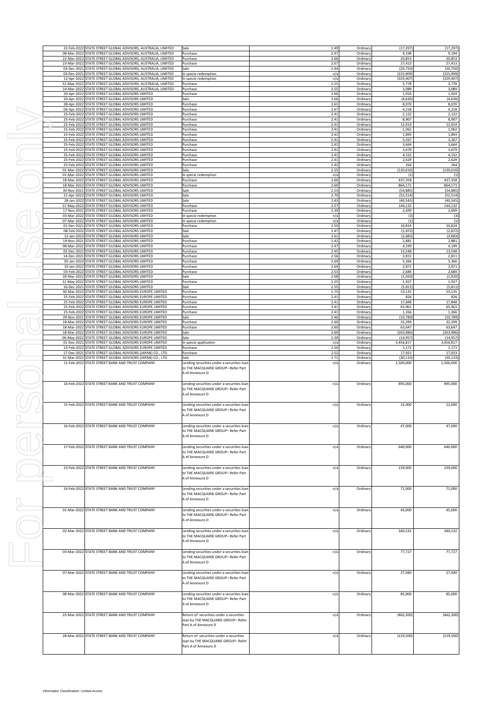|                                            | 22-Feb-2022 STATE STREET GLOBAL ADVISORS, AUSTRALIA, LIMITED                                                                 | Sale                                                                             | 2.49         | Ordinary             | (17, 297)              | (17, 297)              |
|--------------------------------------------|------------------------------------------------------------------------------------------------------------------------------|----------------------------------------------------------------------------------|--------------|----------------------|------------------------|------------------------|
|                                            | 08-Mar-2022 STATE STREET GLOBAL ADVISORS, AUSTRALIA, LIMITED                                                                 | Purchase                                                                         | 2.47         | Ordinary             | 9,194                  | 9,194                  |
|                                            | 22-Mar-2022 STATE STREET GLOBAL ADVISORS, AUSTRALIA, LIMITED                                                                 | Purchase                                                                         | 2.66         | Ordinary             | 20,853                 | 20,853                 |
|                                            | 23-Mar-2022 STATE STREET GLOBAL ADVISORS, AUSTRALIA, LIMITED<br>03-Dec-2021 STATE STREET GLOBAL ADVISORS, AUSTRALIA, LIMITED | Purchase<br>Sale                                                                 | 2.67<br>2.44 | Ordinary<br>Ordinary | 27,413<br>(20, 750)    | 27,413<br>(20, 750)    |
|                                            | 03-Dec-2021 STATE STREET GLOBAL ADVISORS, AUSTRALIA, LIMITED                                                                 | In specie redemption                                                             | n/a          | Ordinary             | (225, 909)             | (225,909)              |
|                                            | 12-Apr-2022 STATE STREET GLOBAL ADVISORS, AUSTRALIA, LIMITED                                                                 | In specie redemption                                                             | n/a          | Ordinary             | (329, 407)             | (329,407               |
|                                            | 12-May-2022 STATE STREET GLOBAL ADVISORS, AUSTRALIA, LIMITED<br>14-Mar-2022 STATE STREET GLOBAL ADVISORS, AUSTRALIA, LIMITED | Purchase<br>Purchase                                                             | 2.25<br>2.55 | Ordinary<br>Ordinary | 3,778<br>3,089         | 3,778<br>3,089         |
|                                            | 20-Apr-2022 STATE STREET GLOBAL ADVISORS LIMITED                                                                             | Purchase                                                                         | 2.66         | Ordinary             | 1,924                  | 1,924                  |
|                                            | 20-Apr-2022 STATE STREET GLOBAL ADVISORS LIMITED                                                                             | Sale                                                                             | 2.66         | Ordinary             | (4, 636)               | (4,636)                |
|                                            | 28-Apr-2022 STATE STREET GLOBAL ADVISORS LIMITED                                                                             | Purchase                                                                         | 2.61         | Ordinary             | 8,070                  | 8,070                  |
|                                            | 06-Apr-2022 STATE STREET GLOBAL ADVISORS LIMITED<br>25-Feb-2022 STATE STREET GLOBAL ADVISORS LIMITED                         | Purchase<br>Purchase                                                             | 2.67<br>2.41 | Ordinary<br>Ordinary | 4,218<br>2,122         | 4,218<br>2,122         |
|                                            | 25-Feb-2022 STATE STREET GLOBAL ADVISORS LIMITED                                                                             | Purchase                                                                         | 2.41         | Ordinary             | 8,907                  | 8,907                  |
|                                            | 25-Feb-2022 STATE STREET GLOBAL ADVISORS LIMITED                                                                             | Purchase                                                                         | 2.41         | Ordinary             | 12,914                 | 12,914                 |
|                                            | 25-Feb-2022 STATE STREET GLOBAL ADVISORS LIMITED<br>25-Feb-2022 STATE STREET GLOBAL ADVISORS LIMITED                         | Purchase                                                                         | 2.41<br>2.41 | Ordinary             | 1,062<br>1,893         | 1,062<br>1,893         |
|                                            | 25-Feb-2022 STATE STREET GLOBAL ADVISORS LIMITED                                                                             | Purchase<br>Purchase                                                             | 2.41         | Ordinary<br>Ordinary | 3,267                  | 3,267                  |
|                                            | 25-Feb-2022 STATE STREET GLOBAL ADVISORS LIMITED                                                                             | Purchase                                                                         | 2.41         | Ordinary             | 3,664                  | 3,664                  |
|                                            | 25-Feb-2022 STATE STREET GLOBAL ADVISORS LIMITED                                                                             | Purchase                                                                         | 2.41         | Ordinary             | 3,679                  | 3,679                  |
|                                            | 25-Feb-2022 STATE STREET GLOBAL ADVISORS LIMITED<br>25-Feb-2022 STATE STREET GLOBAL ADVISORS LIMITED                         | Purchase<br>Purchase                                                             | 2.41<br>2.41 | Ordinary<br>Ordinary | 4,152<br>2,629         | 4,152<br>2,629         |
|                                            | 25-Feb-2022 STATE STREET GLOBAL ADVISORS LIMITED                                                                             | Purchase                                                                         | 2.42         | Ordinary             | 264                    | 264                    |
|                                            | 01-Mar-2022 STATE STREET GLOBAL ADVISORS LIMITED                                                                             | Sale                                                                             | 2.55         | Ordinary             | (120, 610)             | (120, 610)             |
|                                            | 01-Mar-2022 STATE STREET GLOBAL ADVISORS LIMITED                                                                             | In specie redemption                                                             | n/a<br>2.60  | Ordinary             | (1)                    | (1)                    |
|                                            | 18-Mar-2022 STATE STREET GLOBAL ADVISORS LIMITED<br>18-Mar-2022 STATE STREET GLOBAL ADVISORS LIMITED                         | Purchase<br>Purchase                                                             | 2.60         | Ordinary<br>Ordinary | 437,358<br>864,171     | 437,358<br>864,171     |
|                                            | 30-Nov-2021 STATE STREET GLOBAL ADVISORS LIMITED                                                                             | Sale                                                                             | 2.53         | Ordinary             | (54, 885)              | (54, 885)              |
|                                            | 21-Apr-2022 STATE STREET GLOBAL ADVISORS LIMITED                                                                             | Sale                                                                             | 2.70         | Ordinary             | (52, 514)              | (52, 514)              |
|                                            | 28-Jan-2022 STATE STREET GLOBAL ADVISORS LIMITED<br>11-May-2022 STATE STREET GLOBAL ADVISORS LIMITED                         | Sale<br>Purchase                                                                 | 2.43<br>2.27 | Ordinary<br>Ordinary | (40, 545)<br>144,132   | (40, 545)<br>144,132   |
|                                            | 17-Nov-2021 STATE STREET GLOBAL ADVISORS LIMITED                                                                             | Purchase                                                                         | 2.39         | Ordinary             | 2,699                  | 2,699                  |
|                                            | 03-Mar-2022 STATE STREET GLOBAL ADVISORS LIMITED                                                                             | In specie redemption                                                             | n/a          | Ordinary             | (3)                    | (3)                    |
|                                            | 07-Mar-2022 STATE STREET GLOBAL ADVISORS LIMITED                                                                             | In specie redemption                                                             | n/a          | Ordinary             | (1)                    | (1)<br>10,824          |
|                                            | 01-Dec-2021 STATE STREET GLOBAL ADVISORS LIMITED<br>08-Feb-2022 STATE STREET GLOBAL ADVISORS LIMITED                         | Purchase<br>Sale                                                                 | 2.50<br>2.47 | Ordinary<br>Ordinary | 10,824<br>(2, 872)     | (2, 872)               |
|                                            | 12-Jan-2022 STATE STREET GLOBAL ADVISORS LIMITED                                                                             | Sale                                                                             | 2.61         | Ordinary             | (2,683)                | (2,683)                |
|                                            | 19-Nov-2021 STATE STREET GLOBAL ADVISORS LIMITED                                                                             | Purchase                                                                         | 2.42         | Ordinary             | 2,881                  | 2,881                  |
|                                            | 08-Mar-2022 STATE STREET GLOBAL ADVISORS LIMITED<br>02-Dec-2021 STATE STREET GLOBAL ADVISORS LIMITED                         | Purchase<br>Purchase                                                             | 2.47<br>2.45 | Ordinary<br>Ordinary | 4,199<br>13,548        | 4,199<br>13,548        |
|                                            | 14-Dec-2021 STATE STREET GLOBAL ADVISORS LIMITED                                                                             | Purchase                                                                         | 2.56         | Ordinary             | 2,811                  | 2,811                  |
|                                            | 05-Jan-2022 STATE STREET GLOBAL ADVISORS LIMITED                                                                             | Purchase                                                                         | 2.69         | Ordinary             | 5,366                  | 5,366                  |
|                                            | 10-Jan-2022 STATE STREET GLOBAL ADVISORS LIMITED                                                                             | Purchase                                                                         | 2.64         | Ordinary             | 2,871                  | 2,871                  |
|                                            | 03-Feb-2022 STATE STREET GLOBAL ADVISORS LIMITED<br>28-Mar-2022 STATE STREET GLOBAL ADVISORS LIMITED                         | Purchase<br>Sale                                                                 | 2.53<br>2.68 | Ordinary<br>Ordinary | 2,684<br>(1,920)       | 2,684<br>(1,920)       |
|                                            | 12-May-2022 STATE STREET GLOBAL ADVISORS LIMITED                                                                             | Purchase                                                                         | 2.25         | Ordinary             | 1,927                  | 1,927                  |
|                                            | 16-Dec-2021 STATE STREET GLOBAL ADVISORS LIMITED                                                                             | Sale                                                                             | 2.55         | Ordinary             | (5, 811)               | (5, 811)               |
|                                            | 30-Mar-2022 STATE STREET GLOBAL ADVISORS EUROPE LIMITED<br>25-Feb-2022 STATE STREET GLOBAL ADVISORS EUROPE LIMITED           | Purchase<br>Purchase                                                             | 2.75<br>2.41 | Ordinary<br>Ordinary | 53,135<br>826          | 53,135<br>826          |
|                                            | 25-Feb-2022 STATE STREET GLOBAL ADVISORS EUROPE LIMITED                                                                      | Purchase                                                                         | 2.41         | Ordinary             | 17,848                 | 17,848                 |
|                                            | 25-Feb-2022 STATE STREET GLOBAL ADVISORS EUROPE LIMITED                                                                      | Purchase                                                                         | 2.41         | Ordinary             | 65,961                 | 65,961                 |
|                                            | 25-Feb-2022 STATE STREET GLOBAL ADVISORS EUROPE LIMITED<br>29-Nov-2021 STATE STREET GLOBAL ADVISORS EUROPE LIMITED           | Purchase<br>Sale                                                                 | 2.41<br>2.46 | Ordinary             | 1,266<br>(10, 789)     | 1,266<br>(10, 789)     |
| 18-Mar-2022                                | STATE STREET GLOBAL ADVISORS EUROPE LIMITED                                                                                  | Purchase                                                                         | 2.60         | Ordinary<br>Ordinary | 32,299                 | 32,299                 |
|                                            | 18-Mar-2022 STATE STREET GLOBAL ADVISORS EUROPE LIMITED                                                                      | Purchase                                                                         | 2.60         | Ordinary             | 63,647                 | 63,647                 |
|                                            | 18-Mar-2022 STATE STREET GLOBAL ADVISORS EUROPE LIMITED                                                                      | Sale                                                                             | 2.60         | Ordinary             | (263,986)              | (263,986)              |
| 06-May-2022                                | STATE STREET GLOBAL ADVISORS EUROPE LIMITED<br>01-Dec-2021 STATE STREET GLOBAL ADVISORS EUROPE LIMITED                       | Sale<br>In specie application                                                    | 2.39<br>n/a  | Ordinary<br>Ordinary | (14, 957)<br>3,456,817 | (14, 957)<br>3,456,817 |
|                                            | 23-Feb-2022 STATE STREET GLOBAL ADVISORS EUROPE LIMITED                                                                      | Purchase                                                                         | 2.50         | Ordinary             | 1,171                  | 1,171                  |
|                                            | 17-Dec-2021 STATE STREET GLOBAL ADVISORS (JAPAN) CO., LTD                                                                    | Purchase                                                                         | 2.52         | Ordinary             | 17,923                 | 17,923                 |
|                                            | 31-Mar-2022 STATE STREET GLOBAL ADVISORS (JAPAN) CO., LTD.<br>11-Feb-2022 STATE STREET BANK AND TRUST COMPANY                | Sale<br>Lending securities under a securities loan                               | 2.71<br>n/a  | Ordinary<br>Ordinary | (30, 133)<br>1,500,000 | (30, 133)<br>1,500,000 |
|                                            |                                                                                                                              | to THE MACQUARIE GROUP- Refer Part                                               |              |                      |                        |                        |
|                                            |                                                                                                                              | A of Annexure D                                                                  |              |                      |                        |                        |
|                                            | 14-Feb-2022 STATE STREET BANK AND TRUST COMPANY                                                                              | Lending securities under a securities loan                                       |              | Ordinary             | 895,000                | 895,000                |
|                                            |                                                                                                                              | to THE MACQUARIE GROUP- Refer Part                                               | n/a          |                      |                        |                        |
|                                            |                                                                                                                              | A of Annexure D                                                                  |              |                      |                        |                        |
|                                            |                                                                                                                              |                                                                                  |              |                      |                        |                        |
|                                            | 15-Feb-2022 STATE STREET BANK AND TRUST COMPANY                                                                              | Lending securities under a securities loan                                       | n/a          | Ordinary             | 22,000                 | 22,000                 |
|                                            |                                                                                                                              | to THE MACQUARIE GROUP- Refer Part<br>A of Annexure D                            |              |                      |                        |                        |
|                                            |                                                                                                                              |                                                                                  |              |                      |                        |                        |
|                                            | 16-Feb-2022 STATE STREET BANK AND TRUST COMPANY                                                                              | Lending securities under a securities loan                                       | n/a          | Ordinary             | 47,000                 | 47,000                 |
|                                            |                                                                                                                              | to THE MACQUARIE GROUP- Refer Part<br>A of Annexure D                            |              |                      |                        |                        |
|                                            |                                                                                                                              |                                                                                  |              |                      |                        |                        |
|                                            |                                                                                                                              |                                                                                  |              |                      |                        |                        |
|                                            | 17-Feb-2022 STATE STREET BANK AND TRUST COMPANY                                                                              | Lending securities under a securities loan                                       | n/a          | Ordinary             | 640,000                | 640,000                |
|                                            |                                                                                                                              | to THE MACQUARIE GROUP- Refer Part                                               |              |                      |                        |                        |
|                                            |                                                                                                                              | A of Annexure D                                                                  |              |                      |                        |                        |
|                                            |                                                                                                                              |                                                                                  |              |                      |                        |                        |
|                                            | 23-Feb-2022 STATE STREET BANK AND TRUST COMPANY                                                                              | Lending securities under a securities loan<br>to THE MACQUARIE GROUP- Refer Part | n/a          | Ordinary             | 239,000                | 239,000                |
|                                            |                                                                                                                              | A of Annexure D                                                                  |              |                      |                        |                        |
|                                            |                                                                                                                              |                                                                                  |              |                      |                        |                        |
|                                            | 24-Feb-2022 STATE STREET BANK AND TRUST COMPANY                                                                              | Lending securities under a securities loan                                       | n/a          | Ordinary             | 71,000                 | 71,000                 |
|                                            |                                                                                                                              | to THE MACQUARIE GROUP- Refer Part<br>A of Annexure D                            |              |                      |                        |                        |
|                                            |                                                                                                                              |                                                                                  |              |                      |                        |                        |
|                                            | 01-Mar-2022 STATE STREET BANK AND TRUST COMPANY                                                                              | Lending securities under a securities loan                                       | n/a          | Ordinary             | 45,000                 | 45,000                 |
|                                            |                                                                                                                              | to THE MACQUARIE GROUP- Refer Part<br>A of Annexure D                            |              |                      |                        |                        |
|                                            |                                                                                                                              |                                                                                  |              |                      |                        |                        |
|                                            | 02-Mar-2022 STATE STREET BANK AND TRUST COMPANY                                                                              | Lending securities under a securities loan                                       | n/a          | Ordinary             | 340,532                | 340,532                |
|                                            |                                                                                                                              | to THE MACQUARIE GROUP- Refer Part                                               |              |                      |                        |                        |
|                                            |                                                                                                                              | A of Annexure D                                                                  |              |                      |                        |                        |
|                                            | 03-Mar-2022 STATE STREET BANK AND TRUST COMPANY                                                                              | Lending securities under a securities loan                                       | n/a          | Ordinary             | 77,727                 | 77,727                 |
|                                            |                                                                                                                              | to THE MACQUARIE GROUP- Refer Part                                               |              |                      |                        |                        |
|                                            |                                                                                                                              | A of Annexure D                                                                  |              |                      |                        |                        |
|                                            |                                                                                                                              |                                                                                  |              |                      |                        |                        |
|                                            | 07-Mar-2022 STATE STREET BANK AND TRUST COMPANY                                                                              | Lending securities under a securities loan<br>to THE MACQUARIE GROUP- Refer Part | n/a          | Ordinary             | 27,940                 | 27,940                 |
|                                            |                                                                                                                              | A of Annexure D                                                                  |              |                      |                        |                        |
|                                            |                                                                                                                              |                                                                                  |              |                      |                        |                        |
|                                            | 08-Mar-2022 STATE STREET BANK AND TRUST COMPANY                                                                              | Lending securities under a securities loan                                       | n/a          | Ordinary             | 85,000                 | 85,000                 |
|                                            |                                                                                                                              | to THE MACQUARIE GROUP- Refer Part<br>A of Annexure D                            |              |                      |                        |                        |
|                                            |                                                                                                                              |                                                                                  |              |                      |                        |                        |
|                                            | 25-Mar-2022 STATE STREET BANK AND TRUST COMPANY                                                                              | Return of securities under a securities                                          | n/a          | Ordinary             | (462, 200)             | (462, 200)             |
|                                            |                                                                                                                              | loan by THE MACQUARIE GROUP-Refer                                                |              |                      |                        |                        |
|                                            |                                                                                                                              | Part A of Annexure D                                                             |              |                      |                        |                        |
|                                            | 28-Mar-2022 STATE STREET BANK AND TRUST COMPANY                                                                              | Return of securities under a securities                                          | n/a          | Ordinary             | (219, 500)             | (219, 500)             |
|                                            |                                                                                                                              | loan by THE MACQUARIE GROUP-Refer                                                |              |                      |                        |                        |
|                                            |                                                                                                                              | Part A of Annexure D                                                             |              |                      |                        |                        |
|                                            |                                                                                                                              |                                                                                  |              |                      |                        |                        |
|                                            |                                                                                                                              |                                                                                  |              |                      |                        |                        |
|                                            |                                                                                                                              |                                                                                  |              |                      |                        |                        |
|                                            |                                                                                                                              |                                                                                  |              |                      |                        |                        |
|                                            |                                                                                                                              |                                                                                  |              |                      |                        |                        |
| Information Classification: Limited Access |                                                                                                                              |                                                                                  |              |                      |                        |                        |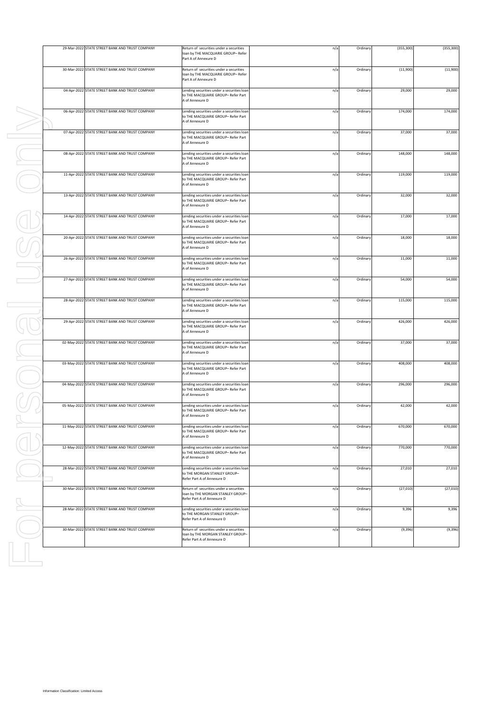|                                            | 29-Mar-2022 STATE STREET BANK AND TRUST COMPANY | Return of securities under a securities<br>loan by THE MACQUARIE GROUP-Refer<br>Part A of Annexure D       | n/a | Ordinary | (355, 300) | (355, 300) |
|--------------------------------------------|-------------------------------------------------|------------------------------------------------------------------------------------------------------------|-----|----------|------------|------------|
|                                            | 30-Mar-2022 STATE STREET BANK AND TRUST COMPANY | Return of securities under a securities<br>loan by THE MACQUARIE GROUP- Refer<br>Part A of Annexure D      | n/a | Ordinary | (11,900)   | (11,900)   |
|                                            | 04-Apr-2022 STATE STREET BANK AND TRUST COMPANY | Lending securities under a securities loan<br>to THE MACQUARIE GROUP- Refer Part<br>A of Annexure D        | n/a | Ordinary | 29,000     | 29,000     |
|                                            | 06-Apr-2022 STATE STREET BANK AND TRUST COMPANY | Lending securities under a securities loan<br>to THE MACQUARIE GROUP- Refer Part<br>A of Annexure D        | n/a | Ordinary | 174,000    | 174,000    |
|                                            | 07-Apr-2022 STATE STREET BANK AND TRUST COMPANY | Lending securities under a securities loan<br>to THE MACQUARIE GROUP- Refer Part<br>A of Annexure D        | n/a | Ordinary | 37,000     | 37,000     |
|                                            | 08-Apr-2022 STATE STREET BANK AND TRUST COMPANY | Lending securities under a securities loan<br>to THE MACQUARIE GROUP- Refer Part<br>A of Annexure D        | n/a | Ordinary | 148,000    | 148,000    |
|                                            | 11-Apr-2022 STATE STREET BANK AND TRUST COMPANY | Lending securities under a securities loan<br>to THE MACQUARIE GROUP- Refer Part<br>A of Annexure D        | n/a | Ordinary | 119,000    | 119,000    |
|                                            | 13-Apr-2022 STATE STREET BANK AND TRUST COMPANY | Lending securities under a securities loan<br>to THE MACQUARIE GROUP- Refer Part<br>A of Annexure D        | n/a | Ordinary | 32,000     | 32,000     |
|                                            | 14-Apr-2022 STATE STREET BANK AND TRUST COMPANY | Lending securities under a securities loan<br>to THE MACQUARIE GROUP- Refer Part<br>A of Annexure D        | n/a | Ordinary | 17,000     | 17,000     |
|                                            | 20-Apr-2022 STATE STREET BANK AND TRUST COMPANY | Lending securities under a securities loan<br>to THE MACQUARIE GROUP- Refer Part<br>A of Annexure D        | n/a | Ordinary | 18,000     | 18,000     |
|                                            | 26-Apr-2022 STATE STREET BANK AND TRUST COMPANY | Lending securities under a securities loan<br>to THE MACQUARIE GROUP- Refer Part<br>A of Annexure D        | n/a | Ordinary | 11,000     | 11,000     |
|                                            | 27-Apr-2022 STATE STREET BANK AND TRUST COMPANY | Lending securities under a securities loan<br>to THE MACQUARIE GROUP- Refer Part<br>A of Annexure D        | n/a | Ordinary | 54,000     | 54,000     |
|                                            | 28-Apr-2022 STATE STREET BANK AND TRUST COMPANY | Lending securities under a securities loan<br>to THE MACQUARIE GROUP- Refer Part<br>A of Annexure D        | n/a | Ordinary | 115,000    | 115,000    |
|                                            | 29-Apr-2022 STATE STREET BANK AND TRUST COMPANY | Lending securities under a securities loan<br>to THE MACQUARIE GROUP- Refer Part<br>A of Annexure D        | n/a | Ordinary | 426,000    | 426,000    |
|                                            | 02-May-2022 STATE STREET BANK AND TRUST COMPANY | Lending securities under a securities loan<br>to THE MACQUARIE GROUP- Refer Part<br>A of Annexure D        | n/a | Ordinary | 37,000     | 37,000     |
|                                            | 03-May-2022 STATE STREET BANK AND TRUST COMPANY | Lending securities under a securities loan<br>to THE MACQUARIE GROUP- Refer Part<br>A of Annexure D        | n/a | Ordinary | 408,000    | 408,000    |
|                                            | 04-May-2022 STATE STREET BANK AND TRUST COMPANY | Lending securities under a securities loan<br>to THE MACQUARIE GROUP- Refer Part<br>A of Annexure D        | n/a | Ordinary | 296,000    | 296,000    |
|                                            | 05-May-2022 STATE STREET BANK AND TRUST COMPANY | Lending securities under a securities loan<br>to THE MACQUARIE GROUP- Refer Part<br>A of Annexure D        | n/a | Ordinary | 42,000     | 42,000     |
|                                            | 11-May-2022 STATE STREET BANK AND TRUST COMPANY | Lending securities under a securities loan<br>to THE MACQUARIE GROUP- Refer Part<br>A of Annexure D        | n/a | Ordinary | 670,000    | 670,000    |
|                                            | 12-May-2022 STATE STREET BANK AND TRUST COMPANY | Lending securities under a securities loan<br>to THE MACQUARIE GROUP- Refer Part<br>A of Annexure D        | n/a | Ordinary | 770,000    | 770,000    |
|                                            | 28-Mar-2022 STATE STREET BANK AND TRUST COMPANY | Lending securities under a securities loan<br>to THE MORGAN STANLEY GROUP-<br>Refer Part A of Annexure D   | n/a | Ordinary | 27,010     | 27,010     |
|                                            | 30-Mar-2022 STATE STREET BANK AND TRUST COMPANY | Return of securities under a securities<br>loan by THE MORGAN STANLEY GROUP-<br>Refer Part A of Annexure D | n/a | Ordinary | (27, 010)  | (27, 010)  |
|                                            | 28-Mar-2022 STATE STREET BANK AND TRUST COMPANY | Lending securities under a securities loan<br>to THE MORGAN STANLEY GROUP-<br>Refer Part A of Annexure D   | n/a | Ordinary | 9,396      | 9,396      |
|                                            | 30-Mar-2022 STATE STREET BANK AND TRUST COMPANY | Return of securities under a securities<br>loan by THE MORGAN STANLEY GROUP-<br>Refer Part A of Annexure D | n/a | Ordinary | (9, 396)   | (9, 396)   |
|                                            |                                                 |                                                                                                            |     |          |            |            |
|                                            |                                                 |                                                                                                            |     |          |            |            |
|                                            |                                                 |                                                                                                            |     |          |            |            |
|                                            |                                                 |                                                                                                            |     |          |            |            |
|                                            |                                                 |                                                                                                            |     |          |            |            |
|                                            |                                                 |                                                                                                            |     |          |            |            |
|                                            |                                                 |                                                                                                            |     |          |            |            |
| Information Classification: Limited Access |                                                 |                                                                                                            |     |          |            |            |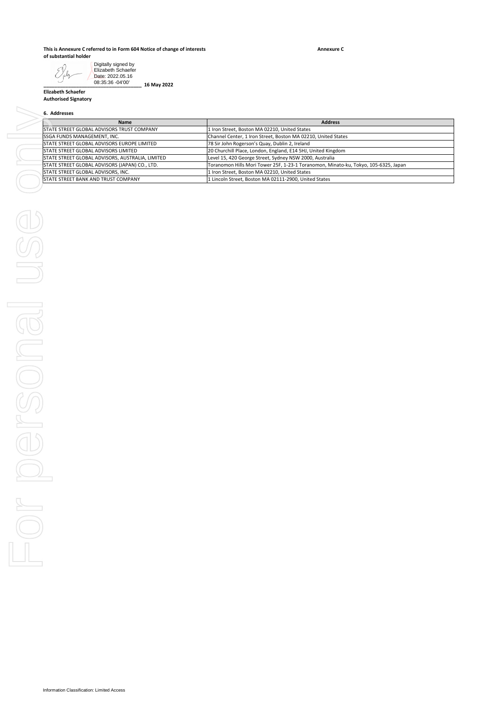## **This is Annexure C referred to in Form 604 Notice of change of interests of substantial holder**

**\_\_\_\_\_\_\_\_\_\_\_\_\_\_\_\_\_\_\_\_\_\_\_\_\_\_\_\_\_\_\_\_\_\_\_\_ 16 May 2022**

**Annexure C**

Digitally signed by EXby Elizabeth Schaefer Date: 2022.05.16 08:35:36 -04'00'

**Elizabeth Schaefer Authorised Signatory**

# **6. Addresses**

| <b>Name</b>                                        | <b>Address</b>                                                                      |  |  |  |
|----------------------------------------------------|-------------------------------------------------------------------------------------|--|--|--|
| STATE STREET GLOBAL ADVISORS TRUST COMPANY         | 1 Iron Street, Boston MA 02210, United States                                       |  |  |  |
| <b>SSGA FUNDS MANAGEMENT, INC.</b>                 | Channel Center, 1 Iron Street, Boston MA 02210, United States                       |  |  |  |
| <b>STATE STREET GLOBAL ADVISORS EUROPE LIMITED</b> | 78 Sir John Rogerson's Quay, Dublin 2, Ireland                                      |  |  |  |
| <b>ISTATE STREET GLOBAL ADVISORS LIMITED</b>       | 20 Churchill Place, London, England, E14 5HJ, United Kingdom                        |  |  |  |
| STATE STREET GLOBAL ADVISORS, AUSTRALIA, LIMITED   | Level 15, 420 George Street, Sydney NSW 2000, Australia                             |  |  |  |
| STATE STREET GLOBAL ADVISORS (JAPAN) CO., LTD.     | Toranomon Hills Mori Tower 25F, 1-23-1 Toranomon, Minato-ku, Tokyo, 105-6325, Japan |  |  |  |
| STATE STREET GLOBAL ADVISORS, INC.                 | 1 Iron Street, Boston MA 02210, United States                                       |  |  |  |
| <b>ISTATE STREET BANK AND TRUST COMPANY</b>        | 1 Lincoln Street, Boston MA 02111-2900, United States                               |  |  |  |